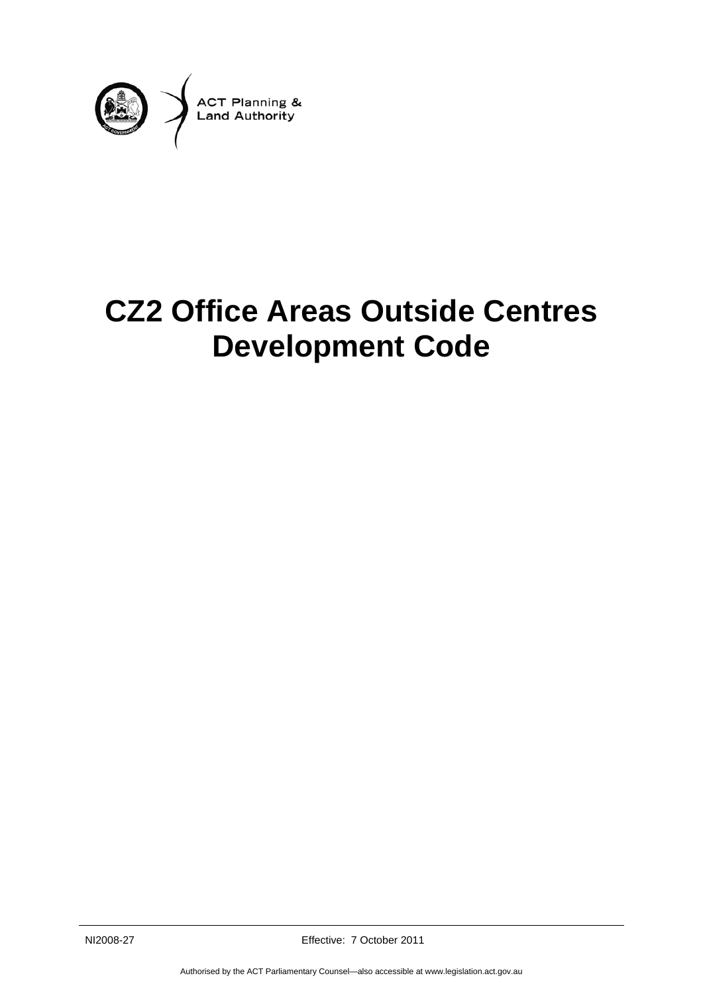

# **CZ2 Office Areas Outside Centres Development Code**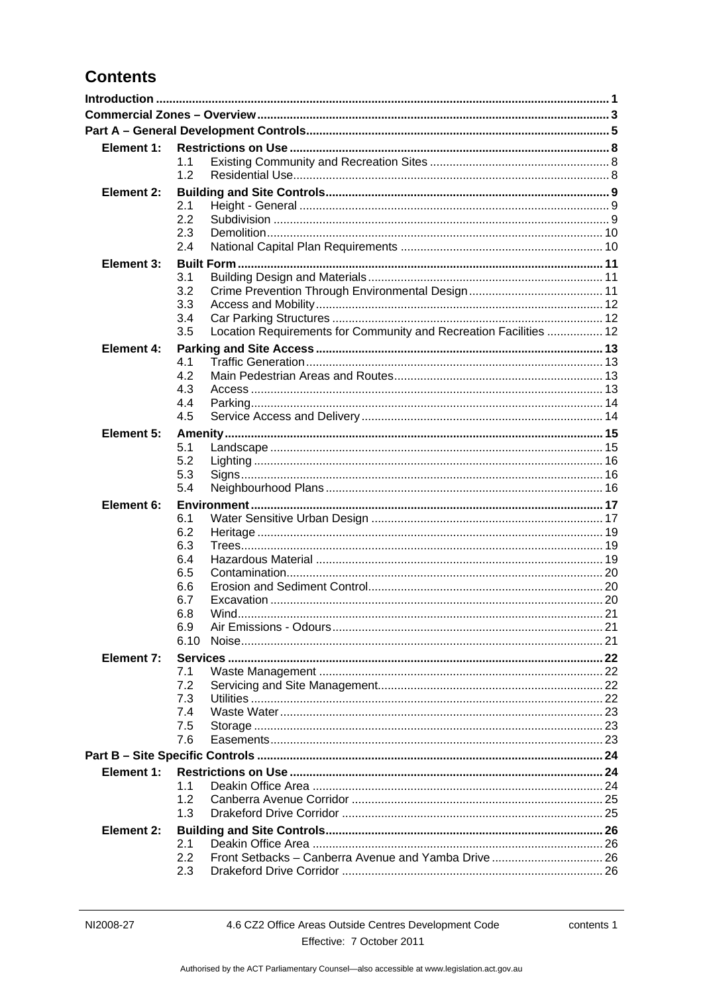## **Contents**

| Element 1:        |            |                                                                   |  |
|-------------------|------------|-------------------------------------------------------------------|--|
|                   | 1.1        |                                                                   |  |
|                   | 1.2        |                                                                   |  |
| Element 2:        |            |                                                                   |  |
|                   | 2.1<br>2.2 |                                                                   |  |
|                   | 2.3        |                                                                   |  |
|                   | 2.4        |                                                                   |  |
| <b>Element 3:</b> |            |                                                                   |  |
|                   | 3.1        |                                                                   |  |
|                   | 3.2        |                                                                   |  |
|                   | 3.3        |                                                                   |  |
|                   | 3.4        |                                                                   |  |
|                   | 3.5        | Location Requirements for Community and Recreation Facilities  12 |  |
| Element 4:        |            |                                                                   |  |
|                   | 4.1<br>4.2 |                                                                   |  |
|                   | 4.3        |                                                                   |  |
|                   | 4.4        |                                                                   |  |
|                   | 4.5        |                                                                   |  |
| Element 5:        |            |                                                                   |  |
|                   | 5.1        |                                                                   |  |
|                   | 5.2        |                                                                   |  |
|                   | 5.3        |                                                                   |  |
|                   | 5.4        |                                                                   |  |
| Element 6:        |            |                                                                   |  |
|                   | 6.1        |                                                                   |  |
|                   | 6.2<br>6.3 |                                                                   |  |
|                   | 6.4        |                                                                   |  |
|                   | 6.5        |                                                                   |  |
|                   | 6.6        |                                                                   |  |
|                   | 6.7        |                                                                   |  |
|                   | 6.8        |                                                                   |  |
|                   | 6.9        |                                                                   |  |
|                   | 6.10       |                                                                   |  |
| Element 7:        | 7.1        |                                                                   |  |
|                   | 7.2        |                                                                   |  |
|                   | 7.3        |                                                                   |  |
|                   | 7.4        |                                                                   |  |
|                   | 7.5        |                                                                   |  |
|                   | 7.6        |                                                                   |  |
|                   |            |                                                                   |  |
| Element 1:        |            |                                                                   |  |
|                   | 1.1        |                                                                   |  |
|                   | 1.2        |                                                                   |  |
|                   | 1.3        |                                                                   |  |
| <b>Element 2:</b> |            |                                                                   |  |
|                   | 2.1<br>2.2 |                                                                   |  |
|                   | 2.3        |                                                                   |  |
|                   |            |                                                                   |  |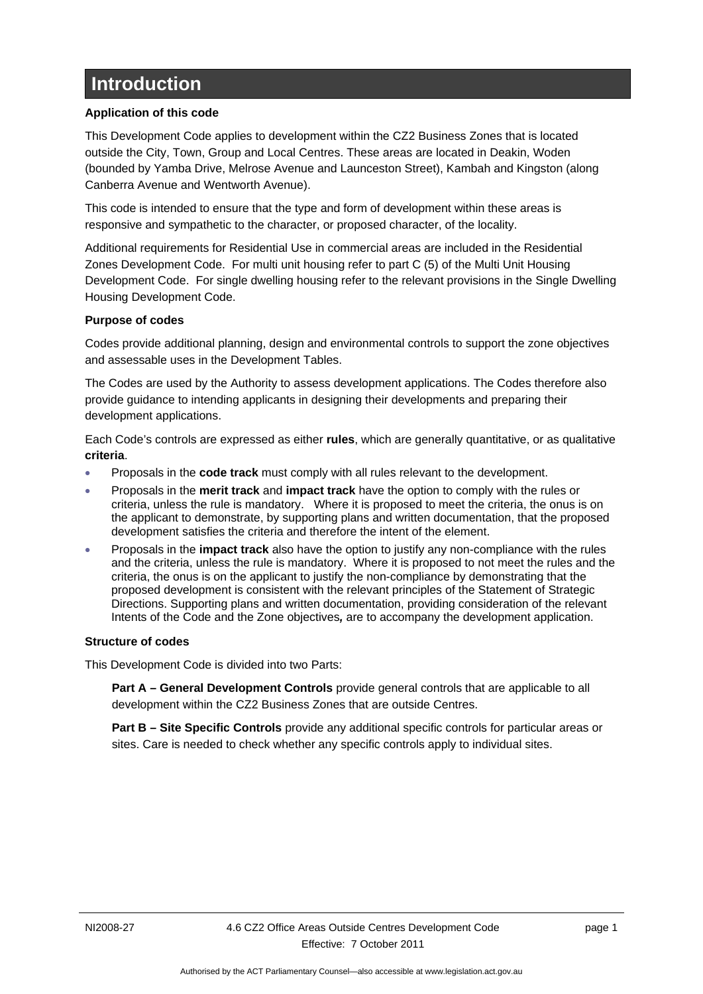# <span id="page-4-0"></span>**Introduction**

### **Application of this code**

This Development Code applies to development within the CZ2 Business Zones that is located outside the City, Town, Group and Local Centres. These areas are located in Deakin, Woden (bounded by Yamba Drive, Melrose Avenue and Launceston Street), Kambah and Kingston (along Canberra Avenue and Wentworth Avenue).

This code is intended to ensure that the type and form of development within these areas is responsive and sympathetic to the character, or proposed character, of the locality.

Additional requirements for Residential Use in commercial areas are included in the Residential Zones Development Code. For multi unit housing refer to part C (5) of the Multi Unit Housing Development Code. For single dwelling housing refer to the relevant provisions in the Single Dwelling Housing Development Code.

### **Purpose of codes**

Codes provide additional planning, design and environmental controls to support the zone objectives and assessable uses in the Development Tables.

The Codes are used by the Authority to assess development applications. The Codes therefore also provide guidance to intending applicants in designing their developments and preparing their development applications.

Each Code's controls are expressed as either **rules**, which are generally quantitative, or as qualitative **criteria**.

- Proposals in the **code track** must comply with all rules relevant to the development.
- Proposals in the **merit track** and **impact track** have the option to comply with the rules or criteria, unless the rule is mandatory. Where it is proposed to meet the criteria, the onus is on the applicant to demonstrate, by supporting plans and written documentation, that the proposed development satisfies the criteria and therefore the intent of the element.
- Proposals in the **impact track** also have the option to justify any non-compliance with the rules and the criteria, unless the rule is mandatory. Where it is proposed to not meet the rules and the criteria, the onus is on the applicant to justify the non-compliance by demonstrating that the proposed development is consistent with the relevant principles of the Statement of Strategic Directions. Supporting plans and written documentation, providing consideration of the relevant Intents of the Code and the Zone objectives*,* are to accompany the development application.

#### **Structure of codes**

This Development Code is divided into two Parts:

**Part A – General Development Controls** provide general controls that are applicable to all development within the CZ2 Business Zones that are outside Centres.

**Part B – Site Specific Controls** provide any additional specific controls for particular areas or sites. Care is needed to check whether any specific controls apply to individual sites.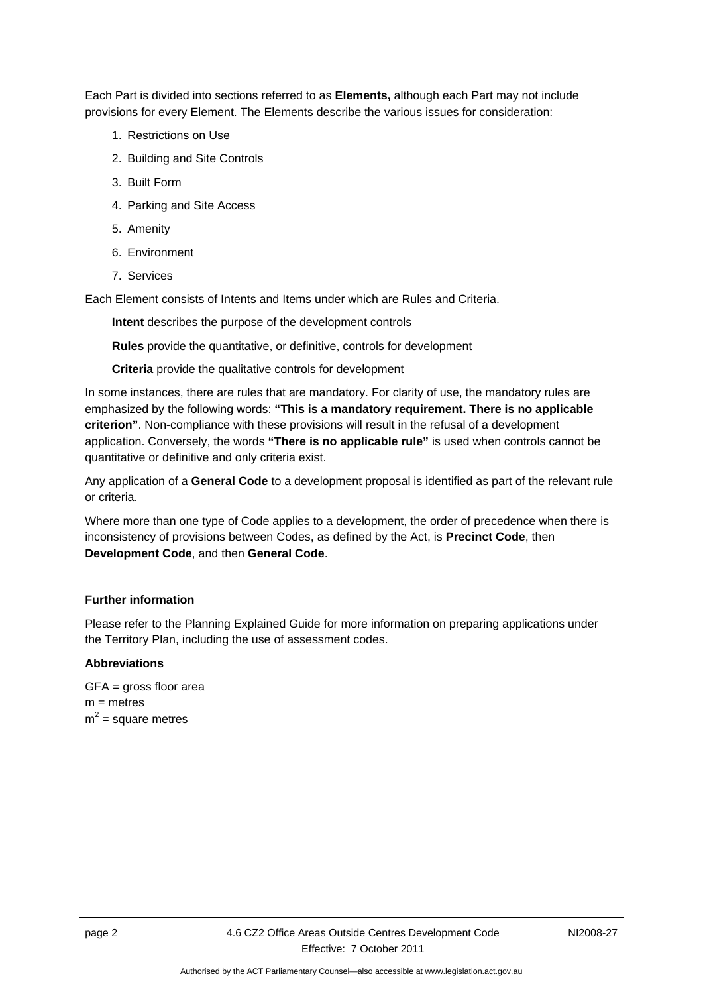Each Part is divided into sections referred to as **Elements,** although each Part may not include provisions for every Element. The Elements describe the various issues for consideration:

- 1. Restrictions on Use
- 2. Building and Site Controls
- 3. Built Form
- 4. Parking and Site Access
- 5. Amenity
- 6. Environment
- 7. Services

Each Element consists of Intents and Items under which are Rules and Criteria.

**Intent** describes the purpose of the development controls

**Rules** provide the quantitative, or definitive, controls for development

**Criteria** provide the qualitative controls for development

In some instances, there are rules that are mandatory. For clarity of use, the mandatory rules are emphasized by the following words: **"This is a mandatory requirement. There is no applicable criterion"**. Non-compliance with these provisions will result in the refusal of a development application. Conversely, the words **"There is no applicable rule"** is used when controls cannot be quantitative or definitive and only criteria exist.

Any application of a **General Code** to a development proposal is identified as part of the relevant rule or criteria.

Where more than one type of Code applies to a development, the order of precedence when there is inconsistency of provisions between Codes, as defined by the Act, is **Precinct Code**, then **Development Code**, and then **General Code**.

#### **Further information**

Please refer to the Planning Explained Guide for more information on preparing applications under the Territory Plan, including the use of assessment codes.

#### **Abbreviations**

GFA = gross floor area  $m =$  metres  $m^2$  = square metres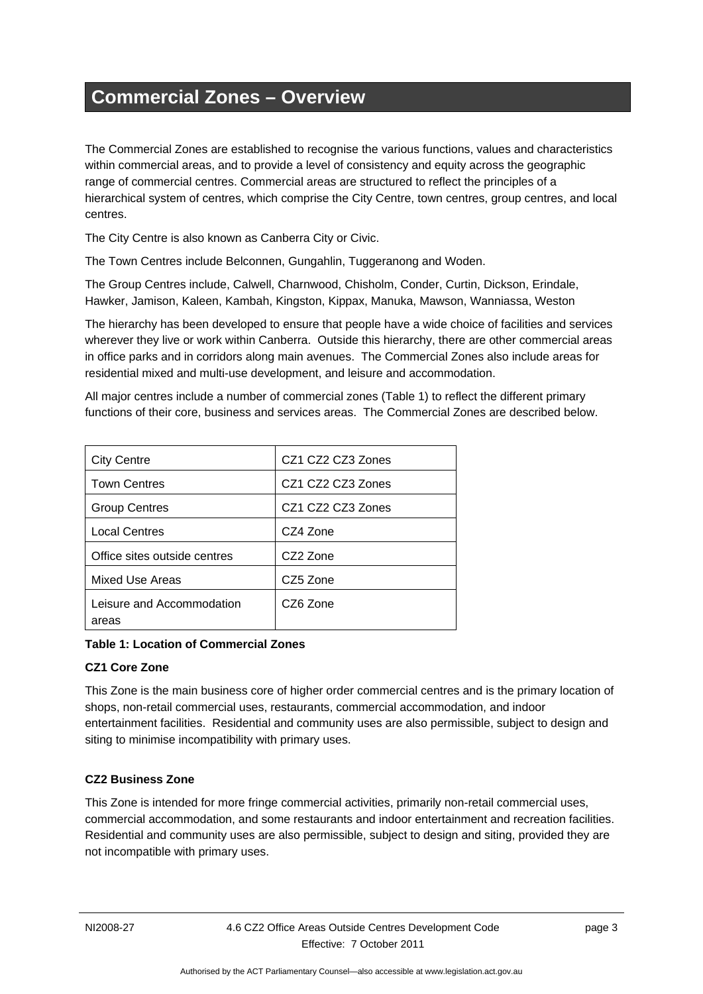# <span id="page-6-0"></span>**Commercial Zones – Overview**

The Commercial Zones are established to recognise the various functions, values and characteristics within commercial areas, and to provide a level of consistency and equity across the geographic range of commercial centres. Commercial areas are structured to reflect the principles of a hierarchical system of centres, which comprise the City Centre, town centres, group centres, and local centres.

The City Centre is also known as Canberra City or Civic.

The Town Centres include Belconnen, Gungahlin, Tuggeranong and Woden.

The Group Centres include, Calwell, Charnwood, Chisholm, Conder, Curtin, Dickson, Erindale, Hawker, Jamison, Kaleen, Kambah, Kingston, Kippax, Manuka, Mawson, Wanniassa, Weston

The hierarchy has been developed to ensure that people have a wide choice of facilities and services wherever they live or work within Canberra. Outside this hierarchy, there are other commercial areas in office parks and in corridors along main avenues. The Commercial Zones also include areas for residential mixed and multi-use development, and leisure and accommodation.

All major centres include a number of commercial zones (Table 1) to reflect the different primary functions of their core, business and services areas. The Commercial Zones are described below.

| <b>City Centre</b>                 | CZ1 CZ2 CZ3 Zones |
|------------------------------------|-------------------|
| <b>Town Centres</b>                | CZ1 CZ2 CZ3 Zones |
| <b>Group Centres</b>               | CZ1 CZ2 CZ3 Zones |
| <b>Local Centres</b>               | CZ4 Zone          |
| Office sites outside centres       | CZ2 Zone          |
| <b>Mixed Use Areas</b>             | CZ5 Zone          |
| Leisure and Accommodation<br>areas | CZ6 Zone          |

**Table 1: Location of Commercial Zones** 

#### **CZ1 Core Zone**

This Zone is the main business core of higher order commercial centres and is the primary location of shops, non-retail commercial uses, restaurants, commercial accommodation, and indoor entertainment facilities. Residential and community uses are also permissible, subject to design and siting to minimise incompatibility with primary uses.

### **CZ2 Business Zone**

This Zone is intended for more fringe commercial activities, primarily non-retail commercial uses, commercial accommodation, and some restaurants and indoor entertainment and recreation facilities. Residential and community uses are also permissible, subject to design and siting, provided they are not incompatible with primary uses.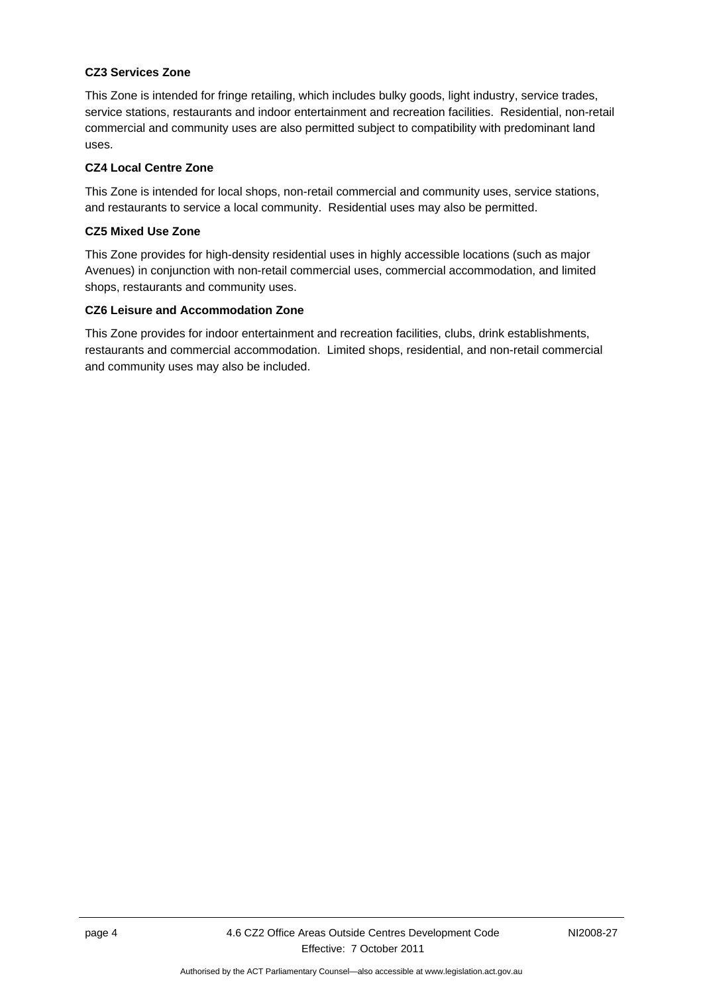### **CZ3 Services Zone**

This Zone is intended for fringe retailing, which includes bulky goods, light industry, service trades, service stations, restaurants and indoor entertainment and recreation facilities. Residential, non-retail commercial and community uses are also permitted subject to compatibility with predominant land uses.

#### **CZ4 Local Centre Zone**

This Zone is intended for local shops, non-retail commercial and community uses, service stations, and restaurants to service a local community. Residential uses may also be permitted.

### **CZ5 Mixed Use Zone**

This Zone provides for high-density residential uses in highly accessible locations (such as major Avenues) in conjunction with non-retail commercial uses, commercial accommodation, and limited shops, restaurants and community uses.

### **CZ6 Leisure and Accommodation Zone**

This Zone provides for indoor entertainment and recreation facilities, clubs, drink establishments, restaurants and commercial accommodation. Limited shops, residential, and non-retail commercial and community uses may also be included.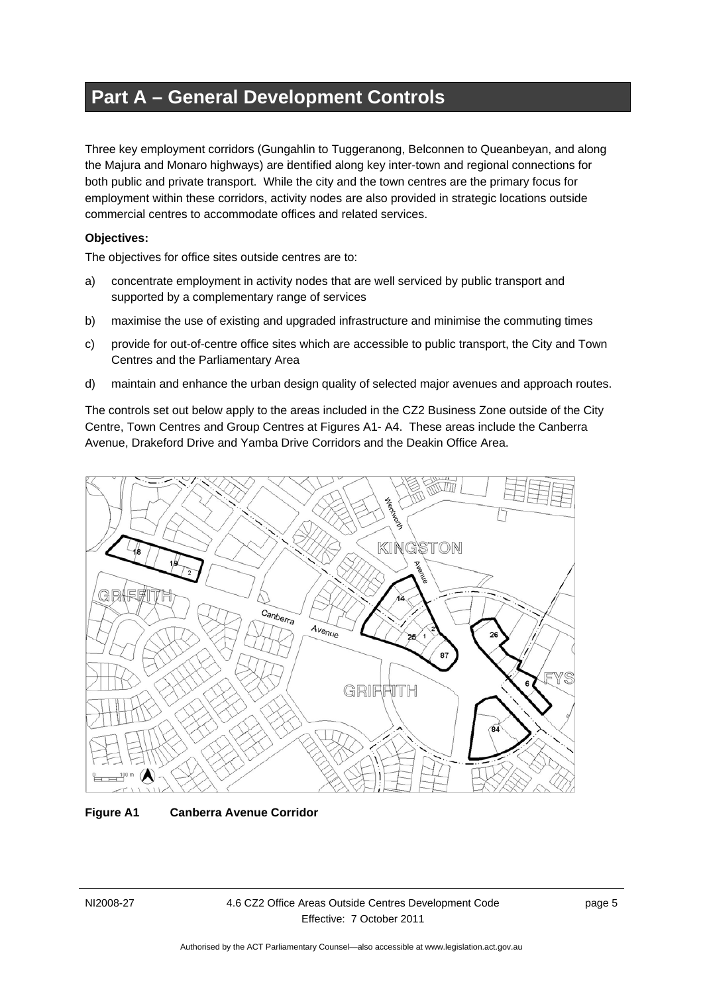# <span id="page-8-0"></span>**Part A – General Development Controls**

Three key employment corridors (Gungahlin to Tuggeranong, Belconnen to Queanbeyan, and along the Majura and Monaro highways) are identified along key inter-town and regional connections for both public and private transport. While the city and the town centres are the primary focus for employment within these corridors, activity nodes are also provided in strategic locations outside commercial centres to accommodate offices and related services.

#### **Objectives:**

The objectives for office sites outside centres are to:

- a) concentrate employment in activity nodes that are well serviced by public transport and supported by a complementary range of services
- b) maximise the use of existing and upgraded infrastructure and minimise the commuting times
- c) provide for out-of-centre office sites which are accessible to public transport, the City and Town Centres and the Parliamentary Area
- d) maintain and enhance the urban design quality of selected major avenues and approach routes.

The controls set out below apply to the areas included in the CZ2 Business Zone outside of the City Centre, Town Centres and Group Centres at Figures A1- A4. These areas include the Canberra Avenue, Drakeford Drive and Yamba Drive Corridors and the Deakin Office Area.



#### **Figure A1 Canberra Avenue Corridor**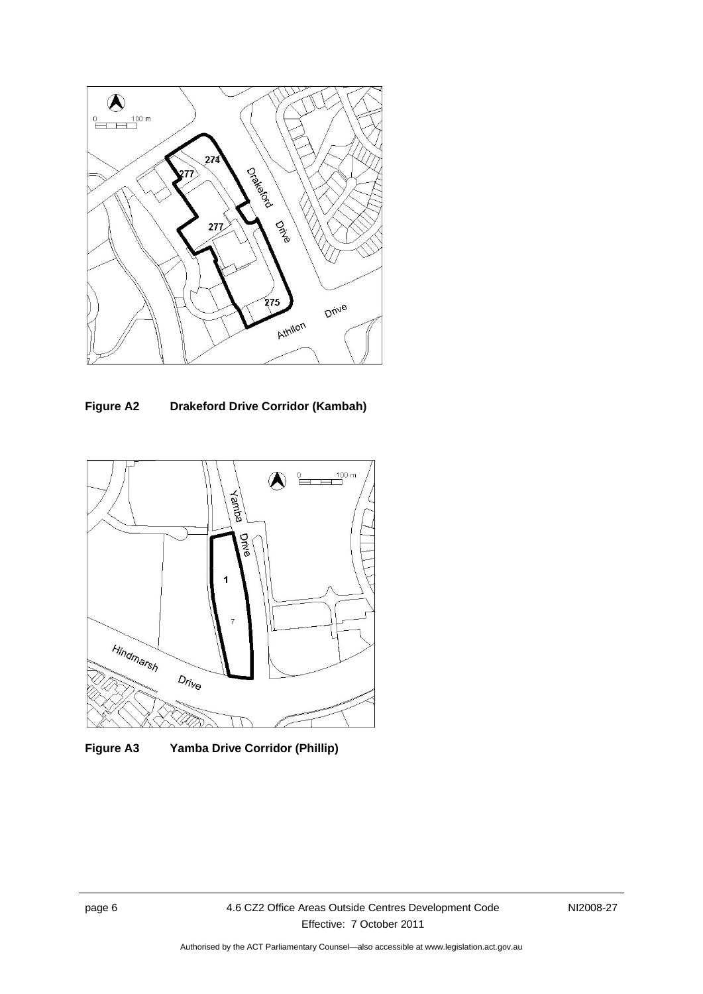

**Figure A2 Drakeford Drive Corridor (Kambah)**



**Figure A3 Yamba Drive Corridor (Phillip)**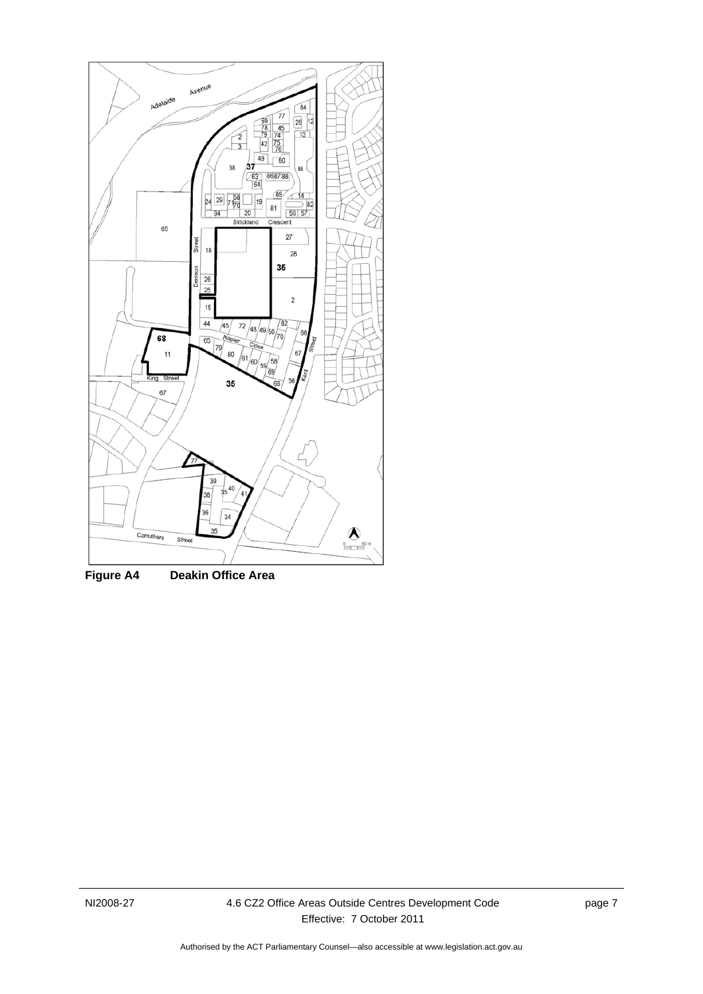

**Figure A4 Deakin Office Area**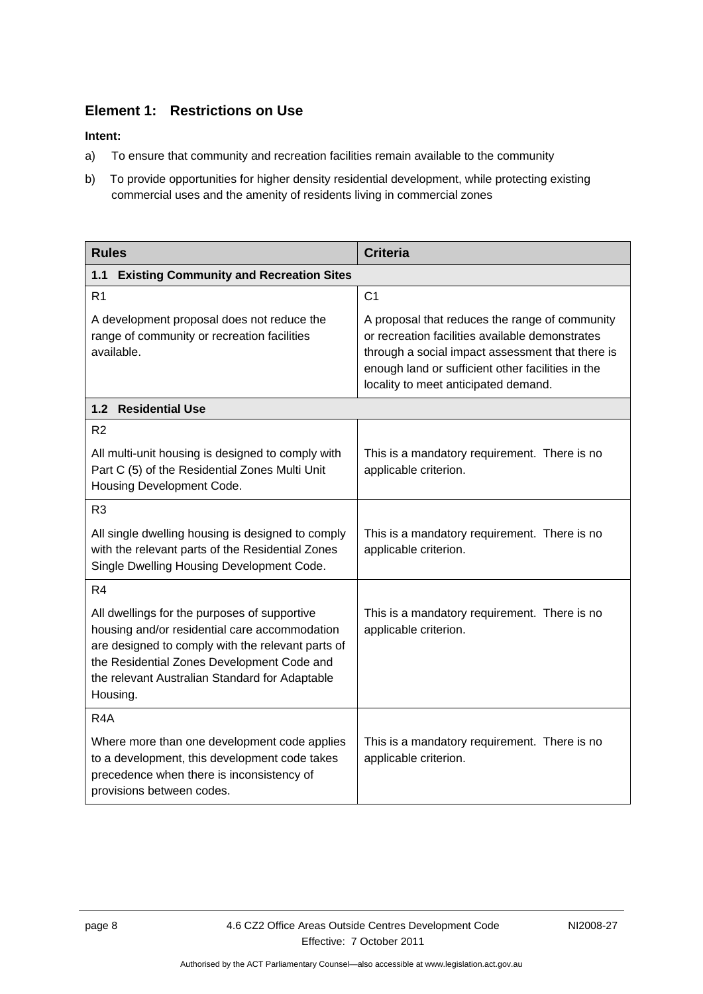### <span id="page-11-0"></span>**Element 1: Restrictions on Use**

- a) To ensure that community and recreation facilities remain available to the community
- b) To provide opportunities for higher density residential development, while protecting existing commercial uses and the amenity of residents living in commercial zones

<span id="page-11-2"></span><span id="page-11-1"></span>

| <b>Rules</b>                                                                                                                                                                                                                                                   | <b>Criteria</b>                                                                                                                                                                                                                                    |
|----------------------------------------------------------------------------------------------------------------------------------------------------------------------------------------------------------------------------------------------------------------|----------------------------------------------------------------------------------------------------------------------------------------------------------------------------------------------------------------------------------------------------|
| <b>Existing Community and Recreation Sites</b><br>1.1                                                                                                                                                                                                          |                                                                                                                                                                                                                                                    |
| R <sub>1</sub>                                                                                                                                                                                                                                                 | C <sub>1</sub>                                                                                                                                                                                                                                     |
| A development proposal does not reduce the<br>range of community or recreation facilities<br>available.                                                                                                                                                        | A proposal that reduces the range of community<br>or recreation facilities available demonstrates<br>through a social impact assessment that there is<br>enough land or sufficient other facilities in the<br>locality to meet anticipated demand. |
| 1.2 Residential Use                                                                                                                                                                                                                                            |                                                                                                                                                                                                                                                    |
| R <sub>2</sub>                                                                                                                                                                                                                                                 |                                                                                                                                                                                                                                                    |
| All multi-unit housing is designed to comply with<br>Part C (5) of the Residential Zones Multi Unit<br>Housing Development Code.                                                                                                                               | This is a mandatory requirement. There is no<br>applicable criterion.                                                                                                                                                                              |
| R <sub>3</sub>                                                                                                                                                                                                                                                 |                                                                                                                                                                                                                                                    |
| All single dwelling housing is designed to comply<br>with the relevant parts of the Residential Zones<br>Single Dwelling Housing Development Code.                                                                                                             | This is a mandatory requirement. There is no<br>applicable criterion.                                                                                                                                                                              |
| R <sub>4</sub>                                                                                                                                                                                                                                                 |                                                                                                                                                                                                                                                    |
| All dwellings for the purposes of supportive<br>housing and/or residential care accommodation<br>are designed to comply with the relevant parts of<br>the Residential Zones Development Code and<br>the relevant Australian Standard for Adaptable<br>Housing. | This is a mandatory requirement. There is no<br>applicable criterion.                                                                                                                                                                              |
| R <sub>4</sub> A                                                                                                                                                                                                                                               |                                                                                                                                                                                                                                                    |
| Where more than one development code applies<br>to a development, this development code takes<br>precedence when there is inconsistency of<br>provisions between codes.                                                                                        | This is a mandatory requirement. There is no<br>applicable criterion.                                                                                                                                                                              |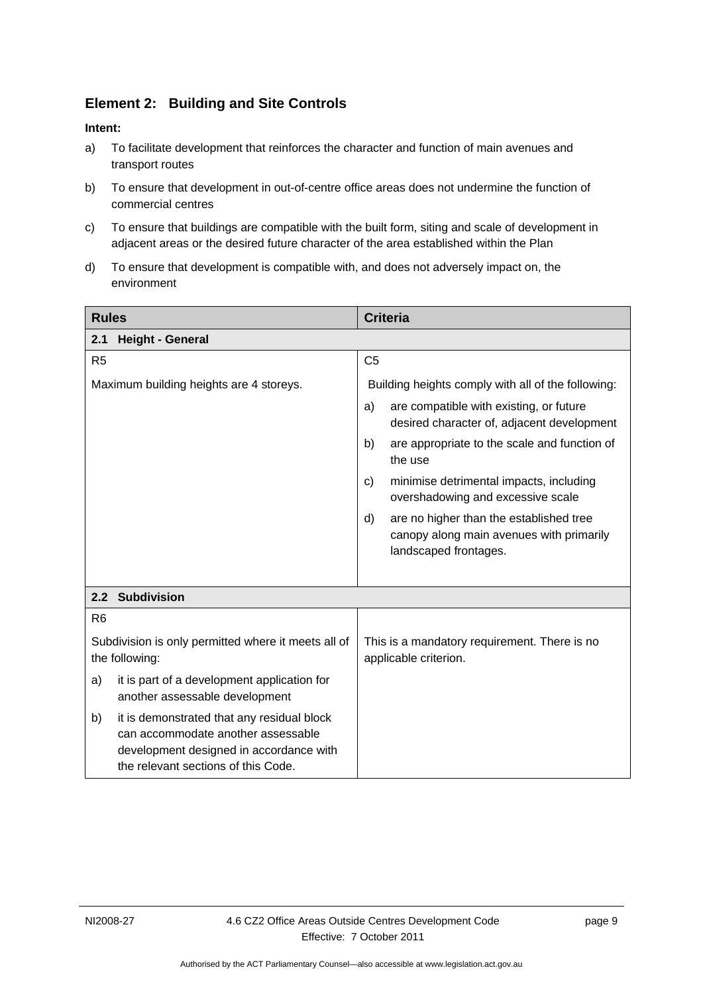### **Element 2: Building and Site Controls**

- a) To facilitate development that reinforces the character and function of main avenues and transport routes
- b) To ensure that development in out-of-centre office areas does not undermine the function of commercial centres
- c) To ensure that buildings are compatible with the built form, siting and scale of development in adjacent areas or the desired future character of the area established within the Plan
- d) To ensure that development is compatible with, and does not adversely impact on, the environment

| <b>Rules</b>                                                                                                                                                             | <b>Criteria</b>                                                                                                    |  |
|--------------------------------------------------------------------------------------------------------------------------------------------------------------------------|--------------------------------------------------------------------------------------------------------------------|--|
| <b>Height - General</b><br>2.1                                                                                                                                           |                                                                                                                    |  |
| R <sub>5</sub>                                                                                                                                                           | C <sub>5</sub>                                                                                                     |  |
| Maximum building heights are 4 storeys.                                                                                                                                  | Building heights comply with all of the following:                                                                 |  |
|                                                                                                                                                                          | are compatible with existing, or future<br>a)<br>desired character of, adjacent development                        |  |
|                                                                                                                                                                          | b)<br>are appropriate to the scale and function of<br>the use                                                      |  |
|                                                                                                                                                                          | minimise detrimental impacts, including<br>C)<br>overshadowing and excessive scale                                 |  |
|                                                                                                                                                                          | are no higher than the established tree<br>d)<br>canopy along main avenues with primarily<br>landscaped frontages. |  |
| 2.2 Subdivision                                                                                                                                                          |                                                                                                                    |  |
| R <sub>6</sub>                                                                                                                                                           |                                                                                                                    |  |
| Subdivision is only permitted where it meets all of<br>the following:                                                                                                    | This is a mandatory requirement. There is no<br>applicable criterion.                                              |  |
| it is part of a development application for<br>a)<br>another assessable development                                                                                      |                                                                                                                    |  |
| it is demonstrated that any residual block<br>b)<br>can accommodate another assessable<br>development designed in accordance with<br>the relevant sections of this Code. |                                                                                                                    |  |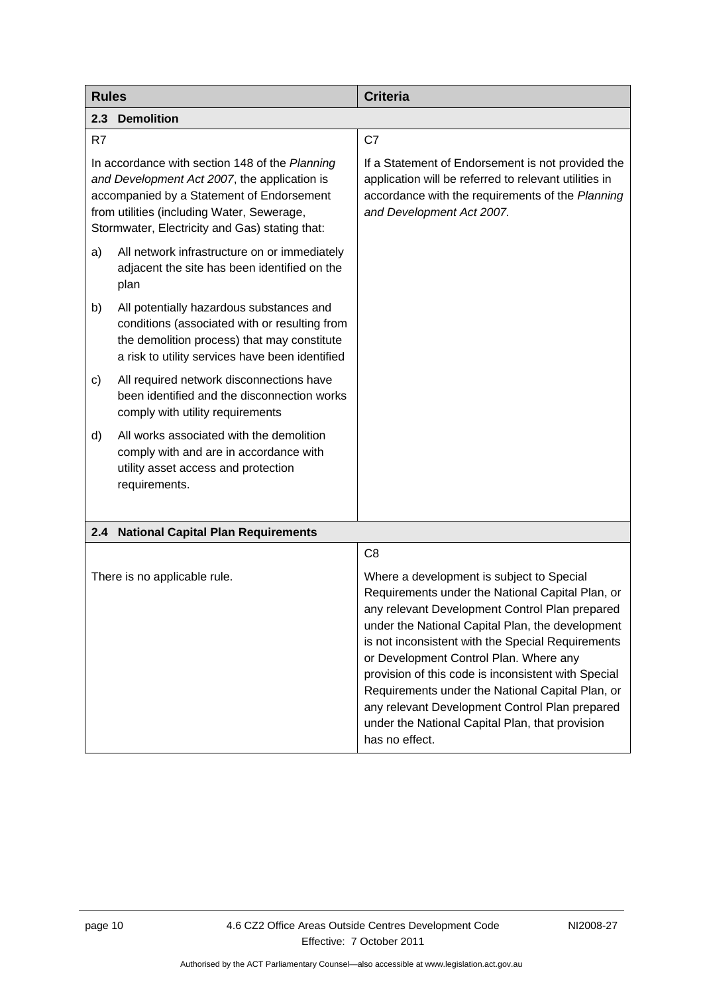<span id="page-13-2"></span><span id="page-13-1"></span><span id="page-13-0"></span>

| <b>Rules</b>                                                                                                                                                                                                                                | <b>Criteria</b>                                                                                                                                                                                                                                                                                                                                                                                                                                                                                                                      |
|---------------------------------------------------------------------------------------------------------------------------------------------------------------------------------------------------------------------------------------------|--------------------------------------------------------------------------------------------------------------------------------------------------------------------------------------------------------------------------------------------------------------------------------------------------------------------------------------------------------------------------------------------------------------------------------------------------------------------------------------------------------------------------------------|
| <b>Demolition</b><br>2.3                                                                                                                                                                                                                    |                                                                                                                                                                                                                                                                                                                                                                                                                                                                                                                                      |
| R7                                                                                                                                                                                                                                          | C7                                                                                                                                                                                                                                                                                                                                                                                                                                                                                                                                   |
| In accordance with section 148 of the Planning<br>and Development Act 2007, the application is<br>accompanied by a Statement of Endorsement<br>from utilities (including Water, Sewerage,<br>Stormwater, Electricity and Gas) stating that: | If a Statement of Endorsement is not provided the<br>application will be referred to relevant utilities in<br>accordance with the requirements of the Planning<br>and Development Act 2007.                                                                                                                                                                                                                                                                                                                                          |
| All network infrastructure on or immediately<br>a)<br>adjacent the site has been identified on the<br>plan                                                                                                                                  |                                                                                                                                                                                                                                                                                                                                                                                                                                                                                                                                      |
| All potentially hazardous substances and<br>b)<br>conditions (associated with or resulting from<br>the demolition process) that may constitute<br>a risk to utility services have been identified                                           |                                                                                                                                                                                                                                                                                                                                                                                                                                                                                                                                      |
| All required network disconnections have<br>c)<br>been identified and the disconnection works<br>comply with utility requirements                                                                                                           |                                                                                                                                                                                                                                                                                                                                                                                                                                                                                                                                      |
| All works associated with the demolition<br>d)<br>comply with and are in accordance with<br>utility asset access and protection<br>requirements.                                                                                            |                                                                                                                                                                                                                                                                                                                                                                                                                                                                                                                                      |
| 2.4 National Capital Plan Requirements                                                                                                                                                                                                      |                                                                                                                                                                                                                                                                                                                                                                                                                                                                                                                                      |
|                                                                                                                                                                                                                                             | C <sub>8</sub>                                                                                                                                                                                                                                                                                                                                                                                                                                                                                                                       |
| There is no applicable rule.                                                                                                                                                                                                                | Where a development is subject to Special<br>Requirements under the National Capital Plan, or<br>any relevant Development Control Plan prepared<br>under the National Capital Plan, the development<br>is not inconsistent with the Special Requirements<br>or Development Control Plan. Where any<br>provision of this code is inconsistent with Special<br>Requirements under the National Capital Plan, or<br>any relevant Development Control Plan prepared<br>under the National Capital Plan, that provision<br>has no effect. |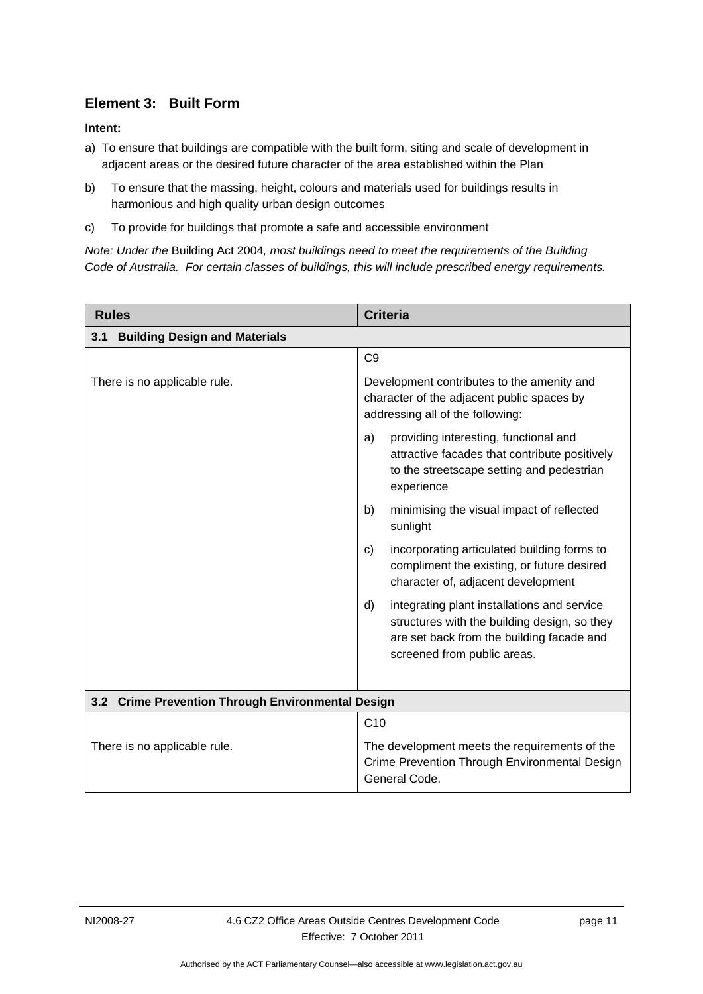### **Element 3: Built Form**

### <span id="page-14-0"></span>**Intent:**

- a) To ensure that buildings are compatible with the built form, siting and scale of development in adjacent areas or the desired future character of the area established within the Plan
- b) To ensure that the massing, height, colours and materials used for buildings results in harmonious and high quality urban design outcomes
- c) To provide for buildings that promote a safe and accessible environment

*Note: Under the* Building Act 2004*, most buildings need to meet the requirements of the Building Code of Australia. For certain classes of buildings, this will include prescribed energy requirements.* 

<span id="page-14-1"></span>

| <b>Rules</b>                                      | <b>Criteria</b>                                                                                                                                                               |  |  |
|---------------------------------------------------|-------------------------------------------------------------------------------------------------------------------------------------------------------------------------------|--|--|
| <b>Building Design and Materials</b><br>3.1       |                                                                                                                                                                               |  |  |
|                                                   | C <sub>9</sub>                                                                                                                                                                |  |  |
| There is no applicable rule.                      | Development contributes to the amenity and<br>character of the adjacent public spaces by<br>addressing all of the following:                                                  |  |  |
|                                                   | providing interesting, functional and<br>a)<br>attractive facades that contribute positively<br>to the streetscape setting and pedestrian<br>experience                       |  |  |
|                                                   | minimising the visual impact of reflected<br>b)<br>sunlight                                                                                                                   |  |  |
|                                                   | incorporating articulated building forms to<br>C)<br>compliment the existing, or future desired<br>character of, adjacent development                                         |  |  |
|                                                   | d)<br>integrating plant installations and service<br>structures with the building design, so they<br>are set back from the building facade and<br>screened from public areas. |  |  |
| 3.2 Crime Prevention Through Environmental Design |                                                                                                                                                                               |  |  |
|                                                   | C10                                                                                                                                                                           |  |  |
| There is no applicable rule.                      | The development meets the requirements of the<br>Crime Prevention Through Environmental Design<br>General Code.                                                               |  |  |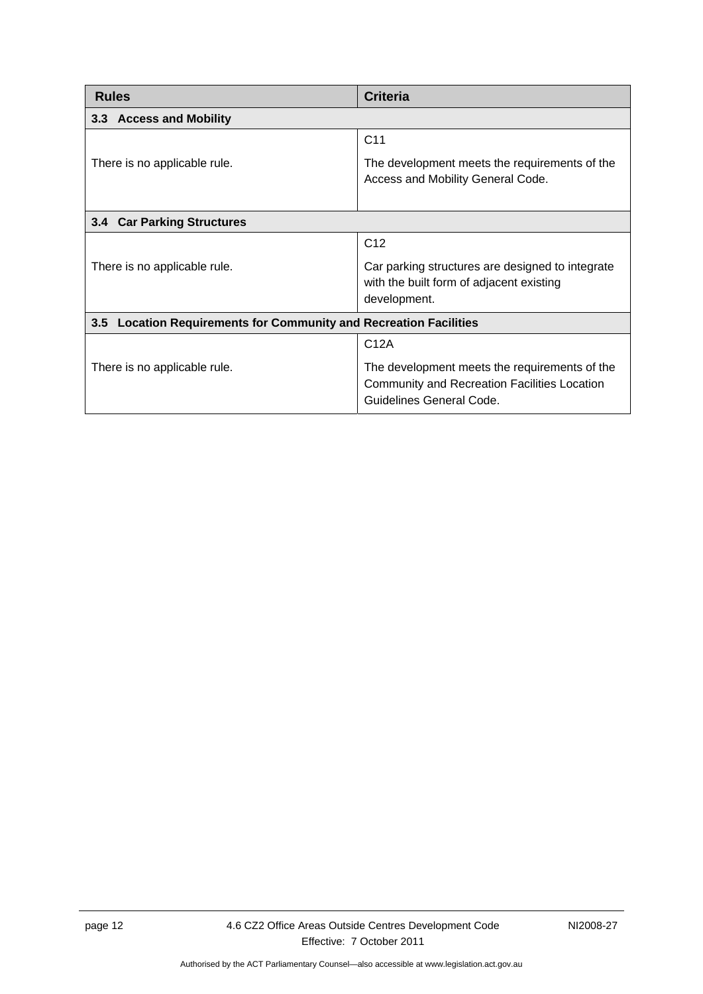<span id="page-15-2"></span><span id="page-15-1"></span><span id="page-15-0"></span>

| <b>Rules</b>                                                                | <b>Criteria</b>                                                                                                                  |  |
|-----------------------------------------------------------------------------|----------------------------------------------------------------------------------------------------------------------------------|--|
| 3.3 Access and Mobility                                                     |                                                                                                                                  |  |
|                                                                             | C <sub>11</sub>                                                                                                                  |  |
| There is no applicable rule.                                                | The development meets the requirements of the<br>Access and Mobility General Code.                                               |  |
| 3.4 Car Parking Structures                                                  |                                                                                                                                  |  |
|                                                                             | C <sub>12</sub>                                                                                                                  |  |
| There is no applicable rule.                                                | Car parking structures are designed to integrate<br>with the built form of adjacent existing<br>development.                     |  |
| <b>Location Requirements for Community and Recreation Facilities</b><br>3.5 |                                                                                                                                  |  |
|                                                                             | C12A                                                                                                                             |  |
| There is no applicable rule.                                                | The development meets the requirements of the<br><b>Community and Recreation Facilities Location</b><br>Guidelines General Code. |  |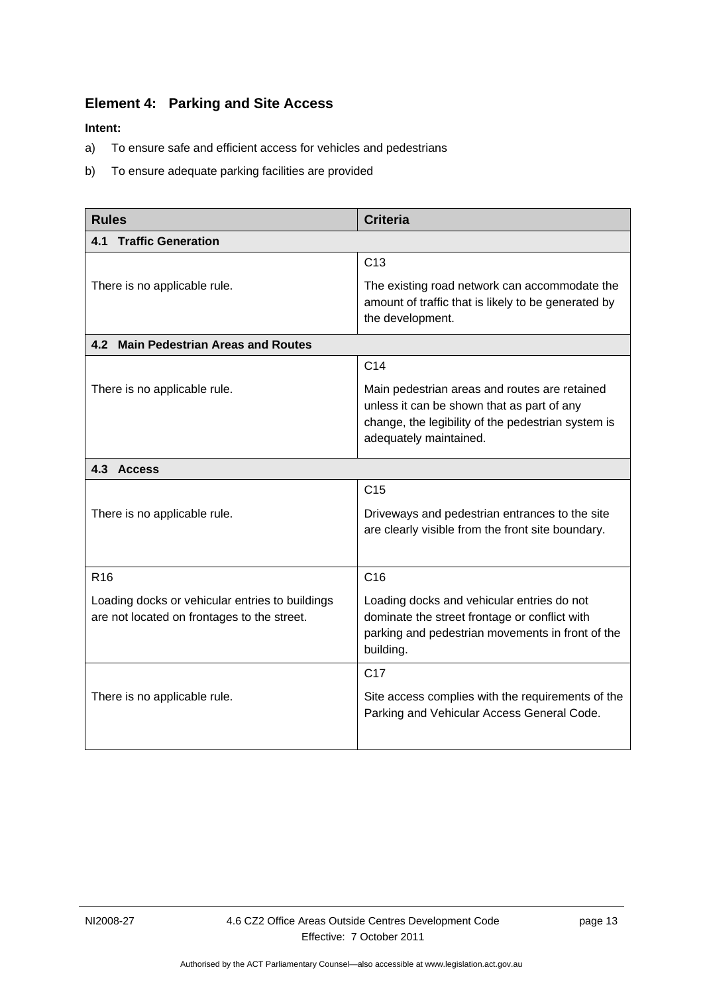### <span id="page-16-0"></span>**Element 4: Parking and Site Access**

- a) To ensure safe and efficient access for vehicles and pedestrians
- b) To ensure adequate parking facilities are provided

<span id="page-16-2"></span><span id="page-16-1"></span>

| <b>Rules</b>                                                                                   | <b>Criteria</b>                                                                                                                                                             |
|------------------------------------------------------------------------------------------------|-----------------------------------------------------------------------------------------------------------------------------------------------------------------------------|
| <b>Traffic Generation</b><br>4.1                                                               |                                                                                                                                                                             |
|                                                                                                | C13                                                                                                                                                                         |
| There is no applicable rule.                                                                   | The existing road network can accommodate the<br>amount of traffic that is likely to be generated by<br>the development.                                                    |
| 4.2 Main Pedestrian Areas and Routes                                                           |                                                                                                                                                                             |
|                                                                                                | C <sub>14</sub>                                                                                                                                                             |
| There is no applicable rule.                                                                   | Main pedestrian areas and routes are retained<br>unless it can be shown that as part of any<br>change, the legibility of the pedestrian system is<br>adequately maintained. |
| 4.3 Access                                                                                     |                                                                                                                                                                             |
|                                                                                                | C <sub>15</sub>                                                                                                                                                             |
| There is no applicable rule.                                                                   | Driveways and pedestrian entrances to the site<br>are clearly visible from the front site boundary.                                                                         |
| R <sub>16</sub>                                                                                | C16                                                                                                                                                                         |
| Loading docks or vehicular entries to buildings<br>are not located on frontages to the street. | Loading docks and vehicular entries do not<br>dominate the street frontage or conflict with<br>parking and pedestrian movements in front of the<br>building.                |
|                                                                                                | C <sub>17</sub>                                                                                                                                                             |
| There is no applicable rule.                                                                   | Site access complies with the requirements of the<br>Parking and Vehicular Access General Code.                                                                             |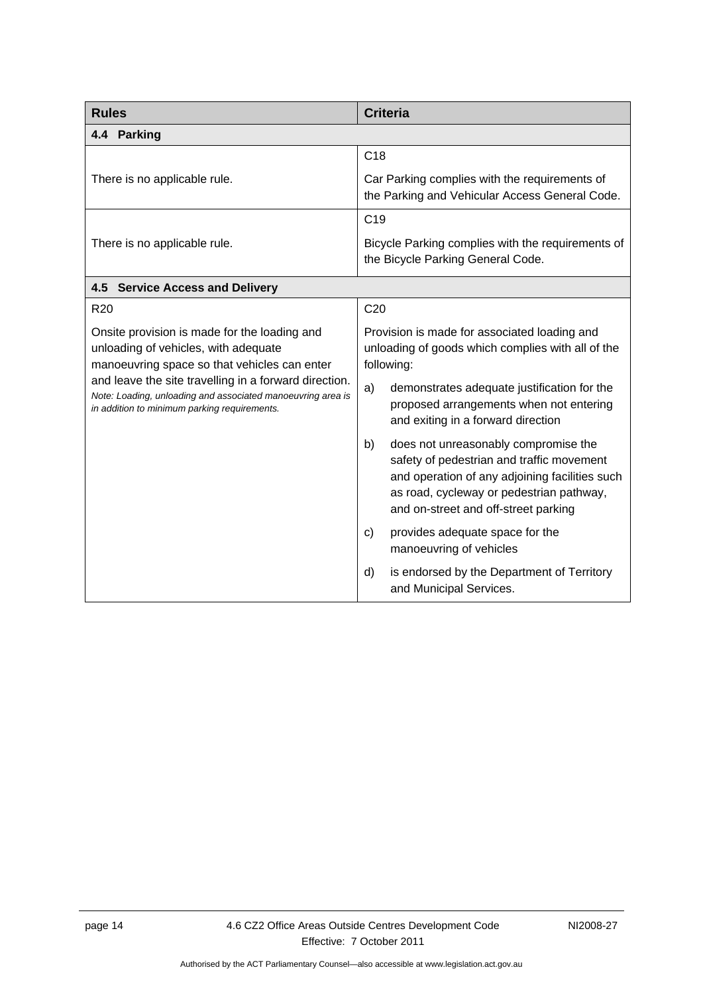<span id="page-17-3"></span><span id="page-17-2"></span><span id="page-17-1"></span><span id="page-17-0"></span>

| <b>Rules</b>                                                                                                                                                         | <b>Criteria</b>                                                                                                                                                                                                               |
|----------------------------------------------------------------------------------------------------------------------------------------------------------------------|-------------------------------------------------------------------------------------------------------------------------------------------------------------------------------------------------------------------------------|
| 4.4 Parking                                                                                                                                                          |                                                                                                                                                                                                                               |
|                                                                                                                                                                      | C <sub>18</sub>                                                                                                                                                                                                               |
| There is no applicable rule.                                                                                                                                         | Car Parking complies with the requirements of<br>the Parking and Vehicular Access General Code.                                                                                                                               |
|                                                                                                                                                                      | C <sub>19</sub>                                                                                                                                                                                                               |
| There is no applicable rule.                                                                                                                                         | Bicycle Parking complies with the requirements of<br>the Bicycle Parking General Code.                                                                                                                                        |
| 4.5 Service Access and Delivery                                                                                                                                      |                                                                                                                                                                                                                               |
| R <sub>20</sub>                                                                                                                                                      | C <sub>20</sub>                                                                                                                                                                                                               |
| Onsite provision is made for the loading and<br>unloading of vehicles, with adequate<br>manoeuvring space so that vehicles can enter                                 | Provision is made for associated loading and<br>unloading of goods which complies with all of the<br>following:                                                                                                               |
| and leave the site travelling in a forward direction.<br>Note: Loading, unloading and associated manoeuvring area is<br>in addition to minimum parking requirements. | a)<br>demonstrates adequate justification for the<br>proposed arrangements when not entering<br>and exiting in a forward direction                                                                                            |
|                                                                                                                                                                      | b)<br>does not unreasonably compromise the<br>safety of pedestrian and traffic movement<br>and operation of any adjoining facilities such<br>as road, cycleway or pedestrian pathway,<br>and on-street and off-street parking |
|                                                                                                                                                                      | provides adequate space for the<br>C)<br>manoeuvring of vehicles                                                                                                                                                              |
|                                                                                                                                                                      | $\mathsf{d}$<br>is endorsed by the Department of Territory<br>and Municipal Services.                                                                                                                                         |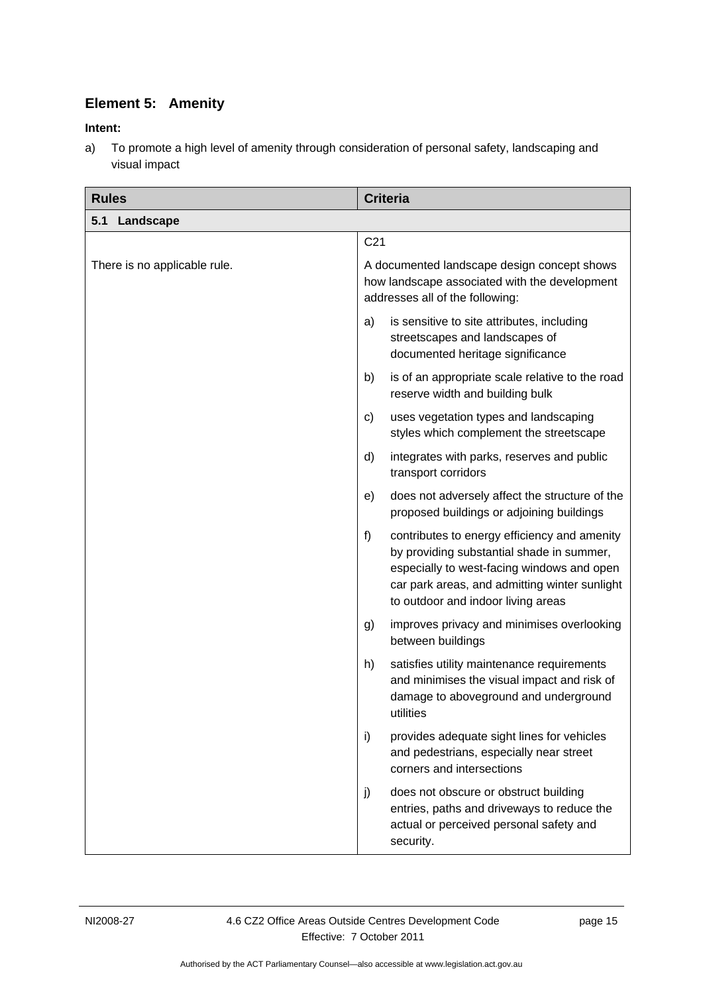### **Element 5: Amenity**

### <span id="page-18-0"></span>**Intent:**

a) To promote a high level of amenity through consideration of personal safety, landscaping and visual impact

<span id="page-18-1"></span>

| <b>Rules</b>                 | <b>Criteria</b>                                                                                                                                                                                                                      |  |
|------------------------------|--------------------------------------------------------------------------------------------------------------------------------------------------------------------------------------------------------------------------------------|--|
| Landscape<br>5.1             |                                                                                                                                                                                                                                      |  |
|                              | C <sub>21</sub>                                                                                                                                                                                                                      |  |
| There is no applicable rule. | A documented landscape design concept shows<br>how landscape associated with the development<br>addresses all of the following:                                                                                                      |  |
|                              | is sensitive to site attributes, including<br>a)<br>streetscapes and landscapes of<br>documented heritage significance                                                                                                               |  |
|                              | is of an appropriate scale relative to the road<br>b)<br>reserve width and building bulk                                                                                                                                             |  |
|                              | uses vegetation types and landscaping<br>C)<br>styles which complement the streetscape                                                                                                                                               |  |
|                              | integrates with parks, reserves and public<br>d)<br>transport corridors                                                                                                                                                              |  |
|                              | does not adversely affect the structure of the<br>e)<br>proposed buildings or adjoining buildings                                                                                                                                    |  |
|                              | f)<br>contributes to energy efficiency and amenity<br>by providing substantial shade in summer,<br>especially to west-facing windows and open<br>car park areas, and admitting winter sunlight<br>to outdoor and indoor living areas |  |
|                              | improves privacy and minimises overlooking<br>g)<br>between buildings                                                                                                                                                                |  |
|                              | h)<br>satisfies utility maintenance requirements<br>and minimises the visual impact and risk of<br>damage to aboveground and underground<br>utilities                                                                                |  |
|                              | i)<br>provides adequate sight lines for vehicles<br>and pedestrians, especially near street<br>corners and intersections                                                                                                             |  |
|                              | j)<br>does not obscure or obstruct building<br>entries, paths and driveways to reduce the<br>actual or perceived personal safety and<br>security.                                                                                    |  |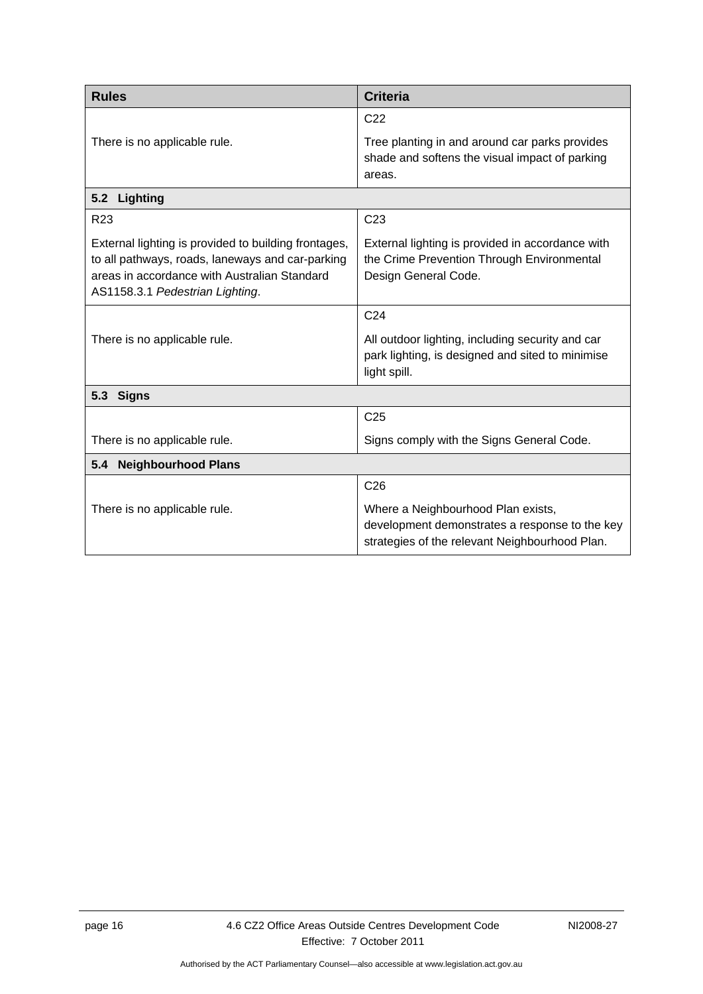<span id="page-19-1"></span><span id="page-19-0"></span>

| <b>Rules</b>                                                                                                                                                                                | <b>Criteria</b>                                                                                                                        |  |  |
|---------------------------------------------------------------------------------------------------------------------------------------------------------------------------------------------|----------------------------------------------------------------------------------------------------------------------------------------|--|--|
|                                                                                                                                                                                             | C <sub>22</sub>                                                                                                                        |  |  |
| There is no applicable rule.                                                                                                                                                                | Tree planting in and around car parks provides<br>shade and softens the visual impact of parking<br>areas.                             |  |  |
| 5.2<br>Lighting                                                                                                                                                                             |                                                                                                                                        |  |  |
| R <sub>23</sub>                                                                                                                                                                             | C <sub>23</sub>                                                                                                                        |  |  |
| External lighting is provided to building frontages,<br>to all pathways, roads, laneways and car-parking<br>areas in accordance with Australian Standard<br>AS1158.3.1 Pedestrian Lighting. | External lighting is provided in accordance with<br>the Crime Prevention Through Environmental<br>Design General Code.                 |  |  |
|                                                                                                                                                                                             | C <sub>24</sub>                                                                                                                        |  |  |
| There is no applicable rule.                                                                                                                                                                | All outdoor lighting, including security and car<br>park lighting, is designed and sited to minimise<br>light spill.                   |  |  |
| 5.3 Signs                                                                                                                                                                                   |                                                                                                                                        |  |  |
|                                                                                                                                                                                             | C <sub>25</sub>                                                                                                                        |  |  |
| There is no applicable rule.                                                                                                                                                                | Signs comply with the Signs General Code.                                                                                              |  |  |
| <b>Neighbourhood Plans</b><br>5.4                                                                                                                                                           |                                                                                                                                        |  |  |
|                                                                                                                                                                                             | C <sub>26</sub>                                                                                                                        |  |  |
| There is no applicable rule.                                                                                                                                                                | Where a Neighbourhood Plan exists,<br>development demonstrates a response to the key<br>strategies of the relevant Neighbourhood Plan. |  |  |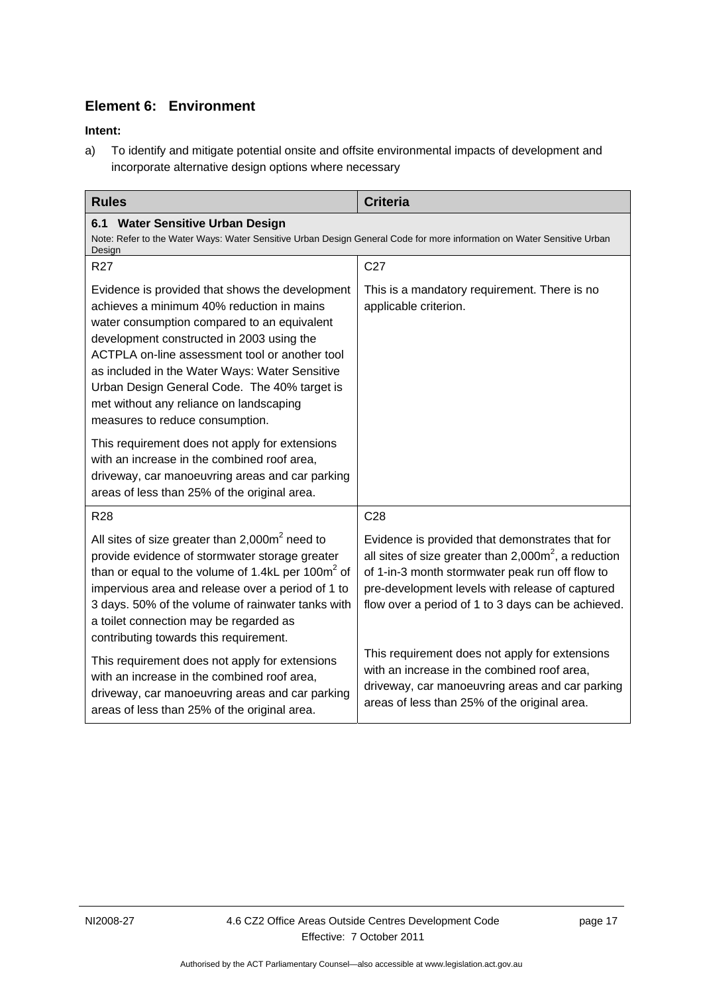### **Element 6: Environment**

### **Intent:**

a) To identify and mitigate potential onsite and offsite environmental impacts of development and incorporate alternative design options where necessary

<span id="page-20-2"></span><span id="page-20-1"></span><span id="page-20-0"></span>

| <b>Rules</b>                                                                                                                                                                                                                                                                                                                                                                                                               | <b>Criteria</b>                                                                                                                                                                                                                                                        |
|----------------------------------------------------------------------------------------------------------------------------------------------------------------------------------------------------------------------------------------------------------------------------------------------------------------------------------------------------------------------------------------------------------------------------|------------------------------------------------------------------------------------------------------------------------------------------------------------------------------------------------------------------------------------------------------------------------|
| 6.1 Water Sensitive Urban Design<br>Note: Refer to the Water Ways: Water Sensitive Urban Design General Code for more information on Water Sensitive Urban<br>Design                                                                                                                                                                                                                                                       |                                                                                                                                                                                                                                                                        |
| <b>R27</b>                                                                                                                                                                                                                                                                                                                                                                                                                 | C <sub>27</sub>                                                                                                                                                                                                                                                        |
| Evidence is provided that shows the development<br>achieves a minimum 40% reduction in mains<br>water consumption compared to an equivalent<br>development constructed in 2003 using the<br>ACTPLA on-line assessment tool or another tool<br>as included in the Water Ways: Water Sensitive<br>Urban Design General Code. The 40% target is<br>met without any reliance on landscaping<br>measures to reduce consumption. | This is a mandatory requirement. There is no<br>applicable criterion.                                                                                                                                                                                                  |
| This requirement does not apply for extensions<br>with an increase in the combined roof area.<br>driveway, car manoeuvring areas and car parking<br>areas of less than 25% of the original area.                                                                                                                                                                                                                           |                                                                                                                                                                                                                                                                        |
| R <sub>28</sub>                                                                                                                                                                                                                                                                                                                                                                                                            | C <sub>28</sub>                                                                                                                                                                                                                                                        |
| All sites of size greater than 2,000m <sup>2</sup> need to<br>provide evidence of stormwater storage greater<br>than or equal to the volume of 1.4kL per 100 $m2$ of<br>impervious area and release over a period of 1 to<br>3 days. 50% of the volume of rainwater tanks with<br>a toilet connection may be regarded as<br>contributing towards this requirement.                                                         | Evidence is provided that demonstrates that for<br>all sites of size greater than $2,000m^2$ , a reduction<br>of 1-in-3 month stormwater peak run off flow to<br>pre-development levels with release of captured<br>flow over a period of 1 to 3 days can be achieved. |
| This requirement does not apply for extensions<br>with an increase in the combined roof area,<br>driveway, car manoeuvring areas and car parking<br>areas of less than 25% of the original area.                                                                                                                                                                                                                           | This requirement does not apply for extensions<br>with an increase in the combined roof area,<br>driveway, car manoeuvring areas and car parking<br>areas of less than 25% of the original area.                                                                       |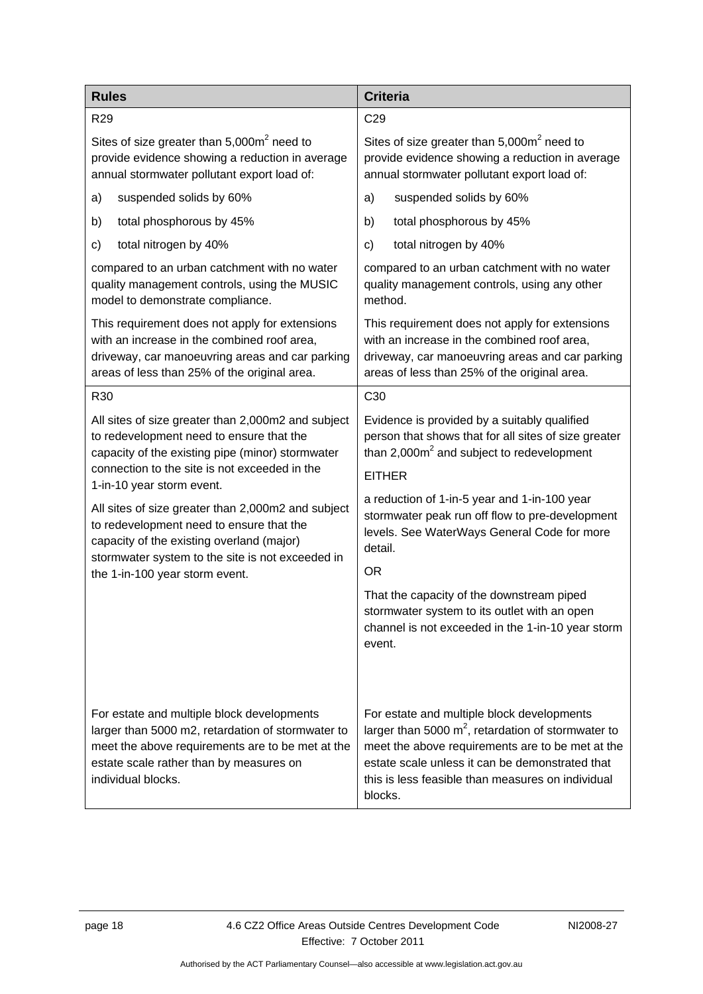<span id="page-21-1"></span><span id="page-21-0"></span>

| <b>Rules</b>                                                                                                                                                                                                         | <b>Criteria</b>                                                                                                                                                                                                                                                            |
|----------------------------------------------------------------------------------------------------------------------------------------------------------------------------------------------------------------------|----------------------------------------------------------------------------------------------------------------------------------------------------------------------------------------------------------------------------------------------------------------------------|
| R <sub>29</sub>                                                                                                                                                                                                      | C <sub>29</sub>                                                                                                                                                                                                                                                            |
| Sites of size greater than 5,000m <sup>2</sup> need to                                                                                                                                                               | Sites of size greater than $5,000m^2$ need to                                                                                                                                                                                                                              |
| provide evidence showing a reduction in average                                                                                                                                                                      | provide evidence showing a reduction in average                                                                                                                                                                                                                            |
| annual stormwater pollutant export load of:                                                                                                                                                                          | annual stormwater pollutant export load of:                                                                                                                                                                                                                                |
| suspended solids by 60%                                                                                                                                                                                              | suspended solids by 60%                                                                                                                                                                                                                                                    |
| a)                                                                                                                                                                                                                   | a)                                                                                                                                                                                                                                                                         |
| total phosphorous by 45%                                                                                                                                                                                             | total phosphorous by 45%                                                                                                                                                                                                                                                   |
| b)                                                                                                                                                                                                                   | b)                                                                                                                                                                                                                                                                         |
| total nitrogen by 40%                                                                                                                                                                                                | total nitrogen by 40%                                                                                                                                                                                                                                                      |
| c)                                                                                                                                                                                                                   | $\mathsf{c}$                                                                                                                                                                                                                                                               |
| compared to an urban catchment with no water                                                                                                                                                                         | compared to an urban catchment with no water                                                                                                                                                                                                                               |
| quality management controls, using the MUSIC                                                                                                                                                                         | quality management controls, using any other                                                                                                                                                                                                                               |
| model to demonstrate compliance.                                                                                                                                                                                     | method.                                                                                                                                                                                                                                                                    |
| This requirement does not apply for extensions                                                                                                                                                                       | This requirement does not apply for extensions                                                                                                                                                                                                                             |
| with an increase in the combined roof area,                                                                                                                                                                          | with an increase in the combined roof area,                                                                                                                                                                                                                                |
| driveway, car manoeuvring areas and car parking                                                                                                                                                                      | driveway, car manoeuvring areas and car parking                                                                                                                                                                                                                            |
| areas of less than 25% of the original area.                                                                                                                                                                         | areas of less than 25% of the original area.                                                                                                                                                                                                                               |
| R30                                                                                                                                                                                                                  | C <sub>30</sub>                                                                                                                                                                                                                                                            |
| All sites of size greater than 2,000m2 and subject                                                                                                                                                                   | Evidence is provided by a suitably qualified                                                                                                                                                                                                                               |
| to redevelopment need to ensure that the                                                                                                                                                                             | person that shows that for all sites of size greater                                                                                                                                                                                                                       |
| capacity of the existing pipe (minor) stormwater                                                                                                                                                                     | than $2,000m^2$ and subject to redevelopment                                                                                                                                                                                                                               |
| connection to the site is not exceeded in the<br>1-in-10 year storm event.                                                                                                                                           | <b>EITHER</b>                                                                                                                                                                                                                                                              |
| All sites of size greater than 2,000m2 and subject                                                                                                                                                                   | a reduction of 1-in-5 year and 1-in-100 year                                                                                                                                                                                                                               |
| to redevelopment need to ensure that the                                                                                                                                                                             | stormwater peak run off flow to pre-development                                                                                                                                                                                                                            |
| capacity of the existing overland (major)                                                                                                                                                                            | levels. See WaterWays General Code for more                                                                                                                                                                                                                                |
| stormwater system to the site is not exceeded in                                                                                                                                                                     | detail.                                                                                                                                                                                                                                                                    |
| the 1-in-100 year storm event.                                                                                                                                                                                       | <b>OR</b>                                                                                                                                                                                                                                                                  |
|                                                                                                                                                                                                                      | That the capacity of the downstream piped<br>stormwater system to its outlet with an open<br>channel is not exceeded in the 1-in-10 year storm<br>event.                                                                                                                   |
| For estate and multiple block developments<br>larger than 5000 m2, retardation of stormwater to<br>meet the above requirements are to be met at the<br>estate scale rather than by measures on<br>individual blocks. | For estate and multiple block developments<br>larger than 5000 $m^2$ , retardation of stormwater to<br>meet the above requirements are to be met at the<br>estate scale unless it can be demonstrated that<br>this is less feasible than measures on individual<br>blocks. |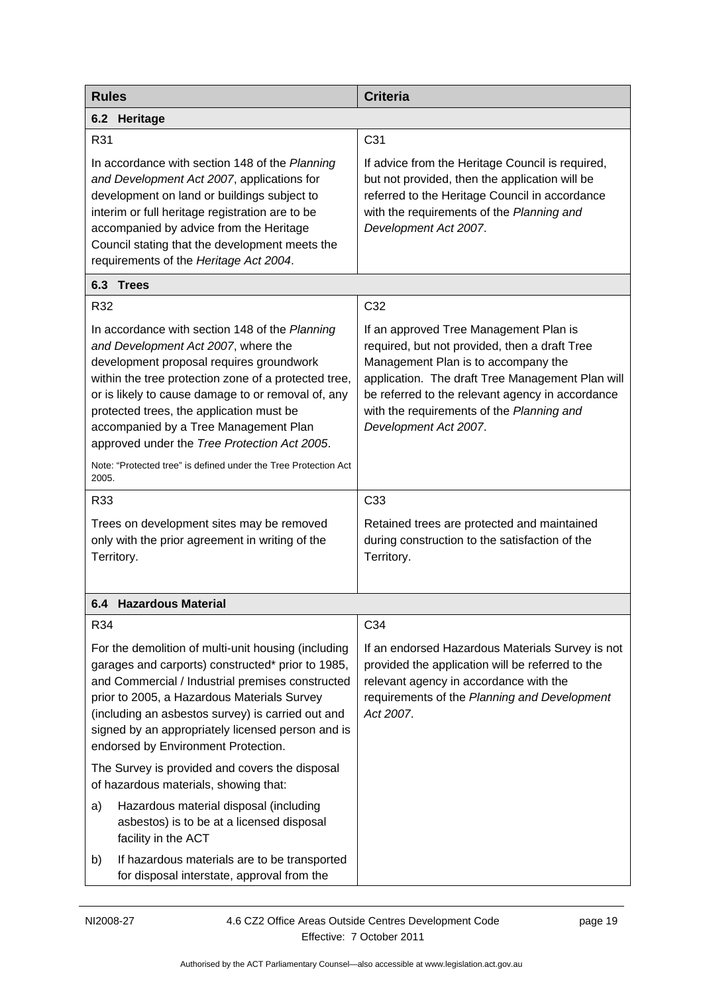| <b>Rules</b>                                                                                                                                                                                                                                                                                                                                                                                                                                            | <b>Criteria</b>                                                                                                                                                                                                                                                                                              |
|---------------------------------------------------------------------------------------------------------------------------------------------------------------------------------------------------------------------------------------------------------------------------------------------------------------------------------------------------------------------------------------------------------------------------------------------------------|--------------------------------------------------------------------------------------------------------------------------------------------------------------------------------------------------------------------------------------------------------------------------------------------------------------|
| 6.2 Heritage                                                                                                                                                                                                                                                                                                                                                                                                                                            |                                                                                                                                                                                                                                                                                                              |
| R31                                                                                                                                                                                                                                                                                                                                                                                                                                                     | C <sub>31</sub>                                                                                                                                                                                                                                                                                              |
| In accordance with section 148 of the Planning<br>and Development Act 2007, applications for<br>development on land or buildings subject to<br>interim or full heritage registration are to be<br>accompanied by advice from the Heritage<br>Council stating that the development meets the<br>requirements of the Heritage Act 2004.                                                                                                                   | If advice from the Heritage Council is required,<br>but not provided, then the application will be<br>referred to the Heritage Council in accordance<br>with the requirements of the Planning and<br>Development Act 2007.                                                                                   |
| 6.3 Trees                                                                                                                                                                                                                                                                                                                                                                                                                                               |                                                                                                                                                                                                                                                                                                              |
| R32                                                                                                                                                                                                                                                                                                                                                                                                                                                     | C32                                                                                                                                                                                                                                                                                                          |
| In accordance with section 148 of the Planning<br>and Development Act 2007, where the<br>development proposal requires groundwork<br>within the tree protection zone of a protected tree,<br>or is likely to cause damage to or removal of, any<br>protected trees, the application must be<br>accompanied by a Tree Management Plan<br>approved under the Tree Protection Act 2005.<br>Note: "Protected tree" is defined under the Tree Protection Act | If an approved Tree Management Plan is<br>required, but not provided, then a draft Tree<br>Management Plan is to accompany the<br>application. The draft Tree Management Plan will<br>be referred to the relevant agency in accordance<br>with the requirements of the Planning and<br>Development Act 2007. |
| 2005.                                                                                                                                                                                                                                                                                                                                                                                                                                                   |                                                                                                                                                                                                                                                                                                              |
| R33<br>Trees on development sites may be removed<br>only with the prior agreement in writing of the<br>Territory.                                                                                                                                                                                                                                                                                                                                       | C33<br>Retained trees are protected and maintained<br>during construction to the satisfaction of the<br>Territory.                                                                                                                                                                                           |
| 6.4 Hazardous Material                                                                                                                                                                                                                                                                                                                                                                                                                                  |                                                                                                                                                                                                                                                                                                              |
| R34                                                                                                                                                                                                                                                                                                                                                                                                                                                     | C34                                                                                                                                                                                                                                                                                                          |
| For the demolition of multi-unit housing (including<br>garages and carports) constructed* prior to 1985,<br>and Commercial / Industrial premises constructed<br>prior to 2005, a Hazardous Materials Survey<br>(including an asbestos survey) is carried out and<br>signed by an appropriately licensed person and is<br>endorsed by Environment Protection.                                                                                            | If an endorsed Hazardous Materials Survey is not<br>provided the application will be referred to the<br>relevant agency in accordance with the<br>requirements of the Planning and Development<br>Act 2007.                                                                                                  |
| The Survey is provided and covers the disposal<br>of hazardous materials, showing that:                                                                                                                                                                                                                                                                                                                                                                 |                                                                                                                                                                                                                                                                                                              |
| a)<br>Hazardous material disposal (including<br>asbestos) is to be at a licensed disposal<br>facility in the ACT                                                                                                                                                                                                                                                                                                                                        |                                                                                                                                                                                                                                                                                                              |
| If hazardous materials are to be transported<br>b)<br>for disposal interstate, approval from the                                                                                                                                                                                                                                                                                                                                                        |                                                                                                                                                                                                                                                                                                              |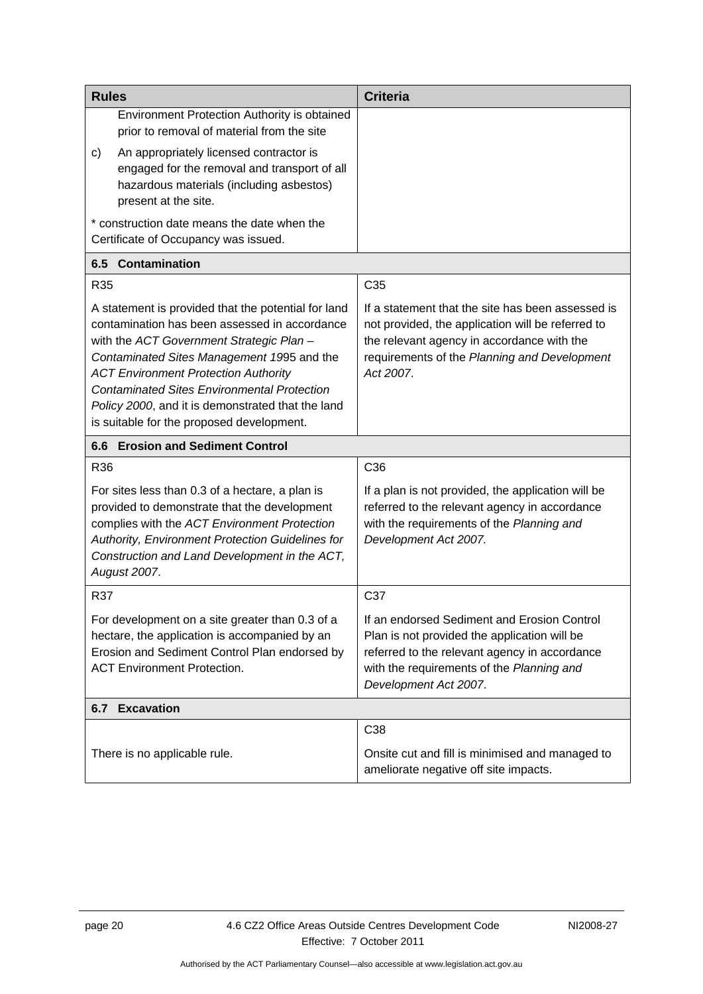<span id="page-23-2"></span><span id="page-23-1"></span><span id="page-23-0"></span>

| <b>Rules</b>                                                                                                                                                                                                                                                                                                                                                                                          | <b>Criteria</b>                                                                                                                                                                                                    |
|-------------------------------------------------------------------------------------------------------------------------------------------------------------------------------------------------------------------------------------------------------------------------------------------------------------------------------------------------------------------------------------------------------|--------------------------------------------------------------------------------------------------------------------------------------------------------------------------------------------------------------------|
| Environment Protection Authority is obtained<br>prior to removal of material from the site<br>An appropriately licensed contractor is                                                                                                                                                                                                                                                                 |                                                                                                                                                                                                                    |
| C)<br>engaged for the removal and transport of all<br>hazardous materials (including asbestos)<br>present at the site.                                                                                                                                                                                                                                                                                |                                                                                                                                                                                                                    |
| * construction date means the date when the<br>Certificate of Occupancy was issued.                                                                                                                                                                                                                                                                                                                   |                                                                                                                                                                                                                    |
| <b>Contamination</b><br>6.5                                                                                                                                                                                                                                                                                                                                                                           |                                                                                                                                                                                                                    |
| R <sub>35</sub>                                                                                                                                                                                                                                                                                                                                                                                       | C <sub>35</sub>                                                                                                                                                                                                    |
| A statement is provided that the potential for land<br>contamination has been assessed in accordance<br>with the ACT Government Strategic Plan -<br>Contaminated Sites Management 1995 and the<br><b>ACT Environment Protection Authority</b><br><b>Contaminated Sites Environmental Protection</b><br>Policy 2000, and it is demonstrated that the land<br>is suitable for the proposed development. | If a statement that the site has been assessed is<br>not provided, the application will be referred to<br>the relevant agency in accordance with the<br>requirements of the Planning and Development<br>Act 2007.  |
| 6.6 Erosion and Sediment Control                                                                                                                                                                                                                                                                                                                                                                      |                                                                                                                                                                                                                    |
| R36                                                                                                                                                                                                                                                                                                                                                                                                   | C <sub>36</sub>                                                                                                                                                                                                    |
| For sites less than 0.3 of a hectare, a plan is<br>provided to demonstrate that the development<br>complies with the ACT Environment Protection<br>Authority, Environment Protection Guidelines for<br>Construction and Land Development in the ACT,<br>August 2007.                                                                                                                                  | If a plan is not provided, the application will be<br>referred to the relevant agency in accordance<br>with the requirements of the Planning and<br>Development Act 2007.                                          |
|                                                                                                                                                                                                                                                                                                                                                                                                       |                                                                                                                                                                                                                    |
| R37                                                                                                                                                                                                                                                                                                                                                                                                   | C37                                                                                                                                                                                                                |
| For development on a site greater than 0.3 of a<br>hectare, the application is accompanied by an<br>Erosion and Sediment Control Plan endorsed by<br><b>ACT Environment Protection.</b>                                                                                                                                                                                                               | If an endorsed Sediment and Erosion Control<br>Plan is not provided the application will be<br>referred to the relevant agency in accordance<br>with the requirements of the Planning and<br>Development Act 2007. |
| <b>6.7 Excavation</b>                                                                                                                                                                                                                                                                                                                                                                                 |                                                                                                                                                                                                                    |
|                                                                                                                                                                                                                                                                                                                                                                                                       | C38                                                                                                                                                                                                                |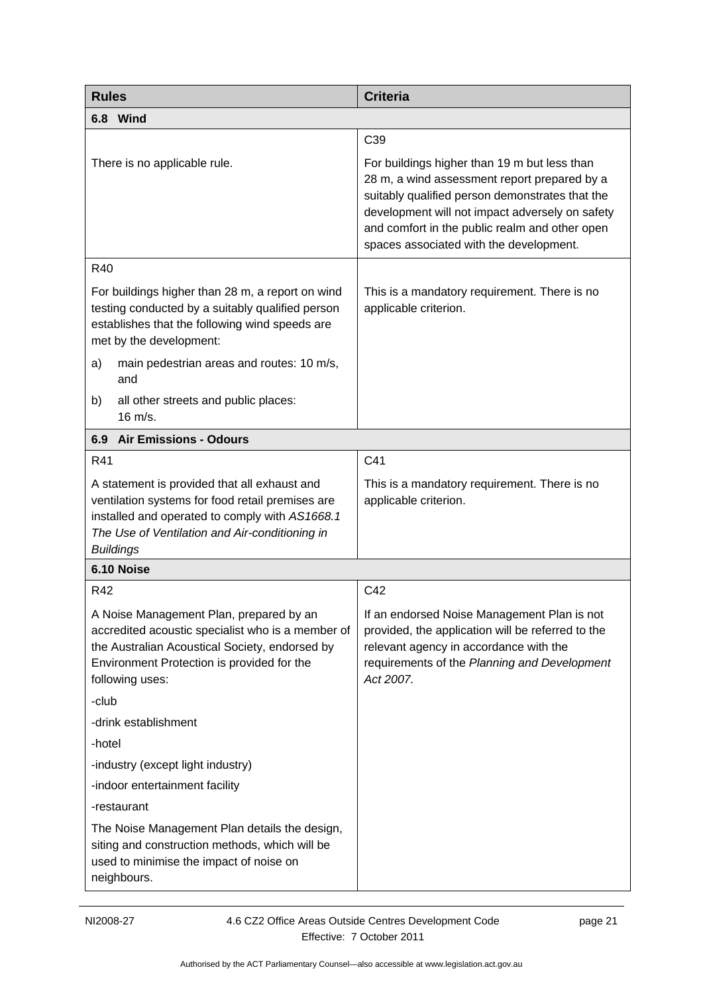<span id="page-24-1"></span><span id="page-24-0"></span>

| <b>Rules</b>                                                                                                                                                                                                             | <b>Criteria</b>                                                                                                                                                                                                                                                                                 |
|--------------------------------------------------------------------------------------------------------------------------------------------------------------------------------------------------------------------------|-------------------------------------------------------------------------------------------------------------------------------------------------------------------------------------------------------------------------------------------------------------------------------------------------|
| 6.8 Wind                                                                                                                                                                                                                 |                                                                                                                                                                                                                                                                                                 |
|                                                                                                                                                                                                                          | C <sub>39</sub>                                                                                                                                                                                                                                                                                 |
| There is no applicable rule.                                                                                                                                                                                             | For buildings higher than 19 m but less than<br>28 m, a wind assessment report prepared by a<br>suitably qualified person demonstrates that the<br>development will not impact adversely on safety<br>and comfort in the public realm and other open<br>spaces associated with the development. |
| R40                                                                                                                                                                                                                      |                                                                                                                                                                                                                                                                                                 |
| For buildings higher than 28 m, a report on wind<br>testing conducted by a suitably qualified person<br>establishes that the following wind speeds are<br>met by the development:                                        | This is a mandatory requirement. There is no<br>applicable criterion.                                                                                                                                                                                                                           |
| main pedestrian areas and routes: 10 m/s,<br>a)<br>and                                                                                                                                                                   |                                                                                                                                                                                                                                                                                                 |
| all other streets and public places:<br>b)<br>16 m/s.                                                                                                                                                                    |                                                                                                                                                                                                                                                                                                 |
| <b>Air Emissions - Odours</b><br>6.9                                                                                                                                                                                     |                                                                                                                                                                                                                                                                                                 |
| R41                                                                                                                                                                                                                      | C41                                                                                                                                                                                                                                                                                             |
| A statement is provided that all exhaust and<br>ventilation systems for food retail premises are<br>installed and operated to comply with AS1668.1<br>The Use of Ventilation and Air-conditioning in<br><b>Buildings</b> | This is a mandatory requirement. There is no<br>applicable criterion.                                                                                                                                                                                                                           |
| 6.10 Noise                                                                                                                                                                                                               |                                                                                                                                                                                                                                                                                                 |
| R42                                                                                                                                                                                                                      | C42                                                                                                                                                                                                                                                                                             |
| A Noise Management Plan, prepared by an<br>accredited acoustic specialist who is a member of<br>the Australian Acoustical Society, endorsed by<br>Environment Protection is provided for the<br>following uses:          | If an endorsed Noise Management Plan is not<br>provided, the application will be referred to the<br>relevant agency in accordance with the<br>requirements of the Planning and Development<br>Act 2007.                                                                                         |
| -club                                                                                                                                                                                                                    |                                                                                                                                                                                                                                                                                                 |
| -drink establishment                                                                                                                                                                                                     |                                                                                                                                                                                                                                                                                                 |
| -hotel                                                                                                                                                                                                                   |                                                                                                                                                                                                                                                                                                 |
| -industry (except light industry)                                                                                                                                                                                        |                                                                                                                                                                                                                                                                                                 |
| -indoor entertainment facility                                                                                                                                                                                           |                                                                                                                                                                                                                                                                                                 |
| -restaurant                                                                                                                                                                                                              |                                                                                                                                                                                                                                                                                                 |
| The Noise Management Plan details the design,<br>siting and construction methods, which will be<br>used to minimise the impact of noise on<br>neighbours.                                                                |                                                                                                                                                                                                                                                                                                 |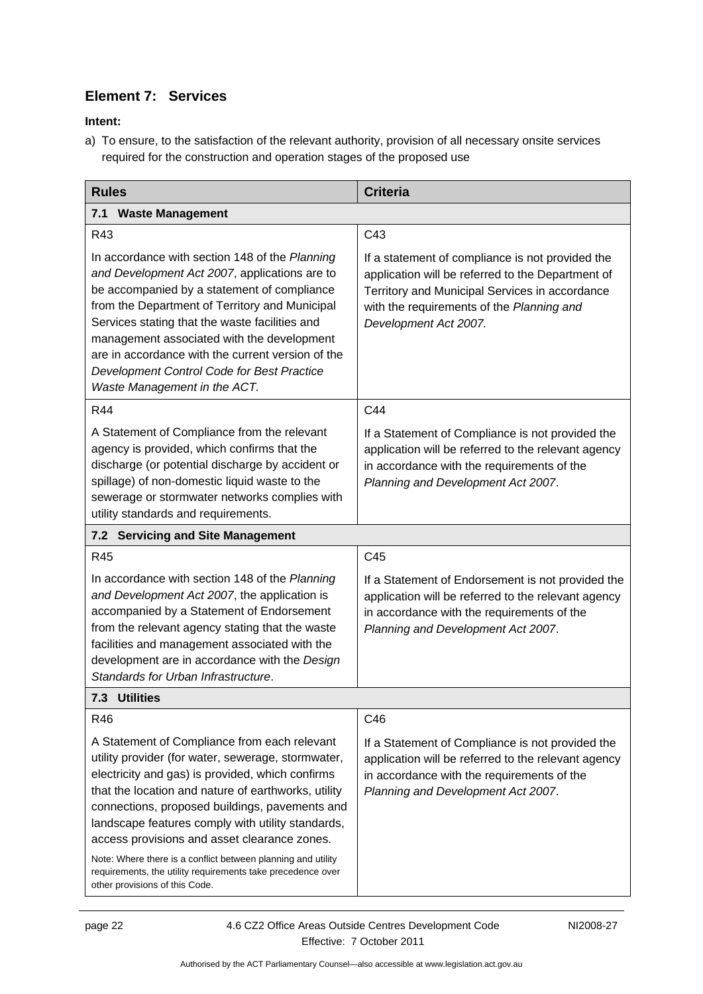### **Element 7: Services**

<span id="page-25-1"></span>**Intent:** 

a) To ensure, to the satisfaction of the relevant authority, provision of all necessary onsite services required for the construction and operation stages of the proposed use

<span id="page-25-3"></span><span id="page-25-2"></span><span id="page-25-0"></span>

| <b>Rules</b>                                                                                                                                                                                                                                                                                                                                                                                                                                                                                                                          | <b>Criteria</b>                                                                                                                                                                                                               |
|---------------------------------------------------------------------------------------------------------------------------------------------------------------------------------------------------------------------------------------------------------------------------------------------------------------------------------------------------------------------------------------------------------------------------------------------------------------------------------------------------------------------------------------|-------------------------------------------------------------------------------------------------------------------------------------------------------------------------------------------------------------------------------|
| <b>Waste Management</b><br>7.1                                                                                                                                                                                                                                                                                                                                                                                                                                                                                                        |                                                                                                                                                                                                                               |
| R43                                                                                                                                                                                                                                                                                                                                                                                                                                                                                                                                   | C43                                                                                                                                                                                                                           |
| In accordance with section 148 of the Planning<br>and Development Act 2007, applications are to<br>be accompanied by a statement of compliance<br>from the Department of Territory and Municipal<br>Services stating that the waste facilities and<br>management associated with the development<br>are in accordance with the current version of the<br>Development Control Code for Best Practice<br>Waste Management in the ACT.                                                                                                   | If a statement of compliance is not provided the<br>application will be referred to the Department of<br>Territory and Municipal Services in accordance<br>with the requirements of the Planning and<br>Development Act 2007. |
| R44                                                                                                                                                                                                                                                                                                                                                                                                                                                                                                                                   | C44                                                                                                                                                                                                                           |
| A Statement of Compliance from the relevant<br>agency is provided, which confirms that the<br>discharge (or potential discharge by accident or<br>spillage) of non-domestic liquid waste to the<br>sewerage or stormwater networks complies with<br>utility standards and requirements.                                                                                                                                                                                                                                               | If a Statement of Compliance is not provided the<br>application will be referred to the relevant agency<br>in accordance with the requirements of the<br>Planning and Development Act 2007.                                   |
| 7.2 Servicing and Site Management                                                                                                                                                                                                                                                                                                                                                                                                                                                                                                     |                                                                                                                                                                                                                               |
| R45                                                                                                                                                                                                                                                                                                                                                                                                                                                                                                                                   | C45                                                                                                                                                                                                                           |
| In accordance with section 148 of the Planning<br>and Development Act 2007, the application is<br>accompanied by a Statement of Endorsement<br>from the relevant agency stating that the waste<br>facilities and management associated with the<br>development are in accordance with the Design<br>Standards for Urban Infrastructure.                                                                                                                                                                                               | If a Statement of Endorsement is not provided the<br>application will be referred to the relevant agency<br>in accordance with the requirements of the<br>Planning and Development Act 2007.                                  |
| 7.3 Utilities                                                                                                                                                                                                                                                                                                                                                                                                                                                                                                                         |                                                                                                                                                                                                                               |
| R46                                                                                                                                                                                                                                                                                                                                                                                                                                                                                                                                   | C46                                                                                                                                                                                                                           |
| A Statement of Compliance from each relevant<br>utility provider (for water, sewerage, stormwater,<br>electricity and gas) is provided, which confirms<br>that the location and nature of earthworks, utility<br>connections, proposed buildings, pavements and<br>landscape features comply with utility standards,<br>access provisions and asset clearance zones.<br>Note: Where there is a conflict between planning and utility<br>requirements, the utility requirements take precedence over<br>other provisions of this Code. | If a Statement of Compliance is not provided the<br>application will be referred to the relevant agency<br>in accordance with the requirements of the<br>Planning and Development Act 2007.                                   |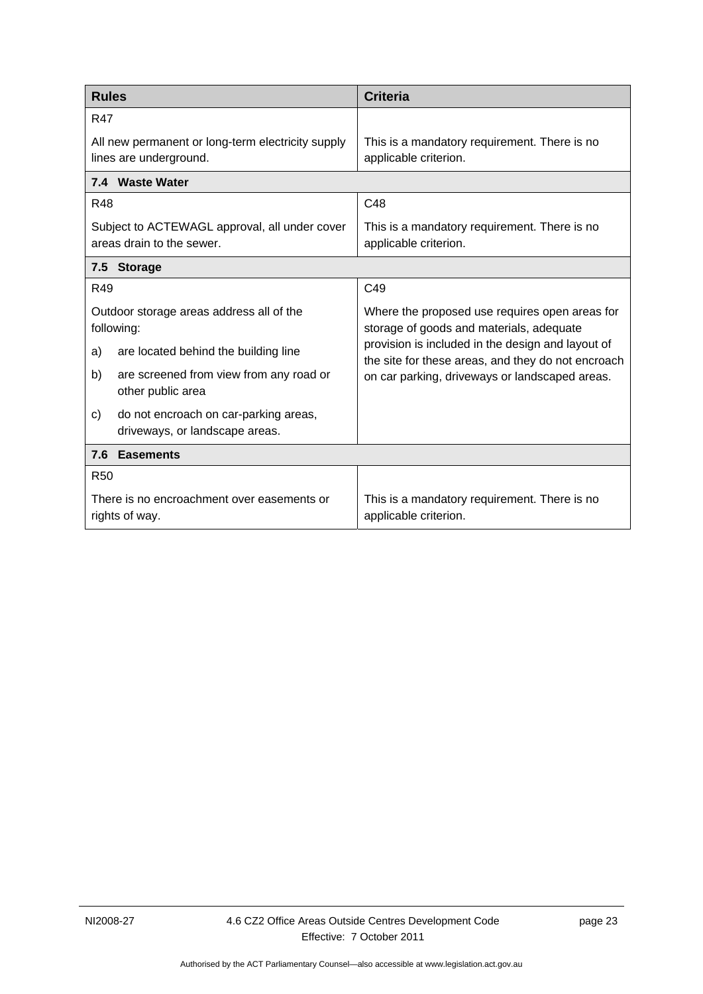| <b>Rules</b>                                                                  | <b>Criteria</b>                                                                                         |  |
|-------------------------------------------------------------------------------|---------------------------------------------------------------------------------------------------------|--|
| <b>R47</b>                                                                    |                                                                                                         |  |
| All new permanent or long-term electricity supply<br>lines are underground.   | This is a mandatory requirement. There is no<br>applicable criterion.                                   |  |
| 7.4 Waste Water                                                               |                                                                                                         |  |
| <b>R48</b>                                                                    | C48                                                                                                     |  |
| Subject to ACTEWAGL approval, all under cover<br>areas drain to the sewer.    | This is a mandatory requirement. There is no<br>applicable criterion.                                   |  |
| 7.5<br><b>Storage</b>                                                         |                                                                                                         |  |
| R49                                                                           | C49                                                                                                     |  |
| Outdoor storage areas address all of the<br>following:                        | Where the proposed use requires open areas for<br>storage of goods and materials, adequate              |  |
| are located behind the building line<br>a)                                    | provision is included in the design and layout of<br>the site for these areas, and they do not encroach |  |
| are screened from view from any road or<br>b)<br>other public area            | on car parking, driveways or landscaped areas.                                                          |  |
| do not encroach on car-parking areas,<br>c)<br>driveways, or landscape areas. |                                                                                                         |  |
| 7.6<br><b>Easements</b>                                                       |                                                                                                         |  |
| <b>R50</b>                                                                    |                                                                                                         |  |
| There is no encroachment over easements or<br>rights of way.                  | This is a mandatory requirement. There is no<br>applicable criterion.                                   |  |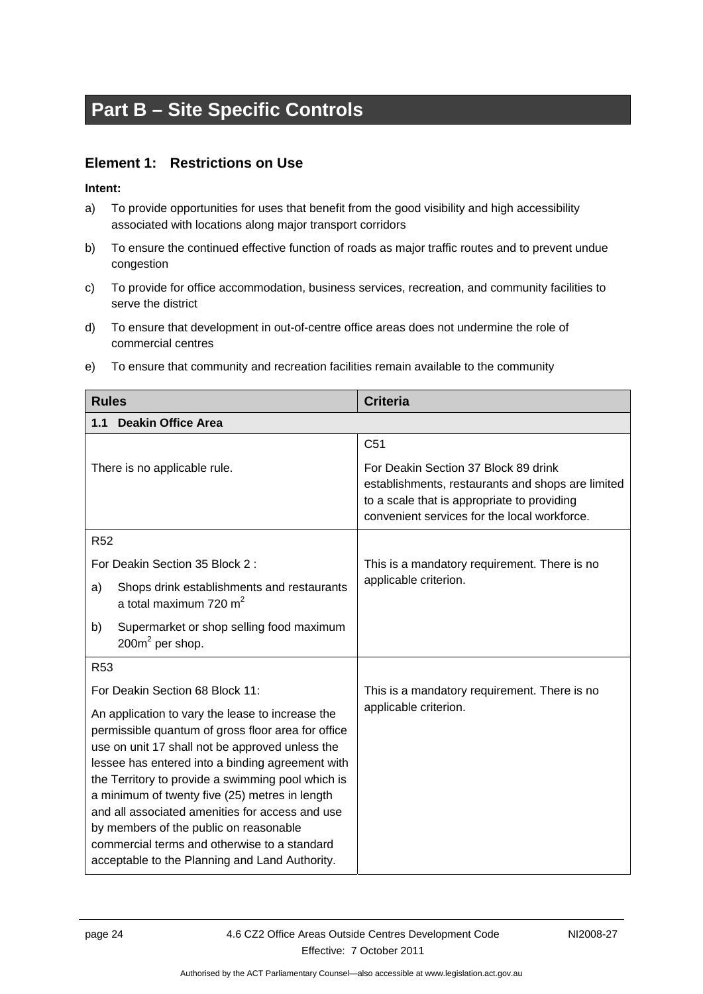# <span id="page-27-0"></span>**Part B – Site Specific Controls**

### **Element 1: Restrictions on Use**

- <span id="page-27-1"></span>a) To provide opportunities for uses that benefit from the good visibility and high accessibility associated with locations along major transport corridors
- b) To ensure the continued effective function of roads as major traffic routes and to prevent undue congestion
- c) To provide for office accommodation, business services, recreation, and community facilities to serve the district
- d) To ensure that development in out-of-centre office areas does not undermine the role of commercial centres
- e) To ensure that community and recreation facilities remain available to the community

<span id="page-27-3"></span><span id="page-27-2"></span>

| <b>Rules</b>                                                                                                                                                                                                  | <b>Criteria</b>                                                                                                                                                                          |
|---------------------------------------------------------------------------------------------------------------------------------------------------------------------------------------------------------------|------------------------------------------------------------------------------------------------------------------------------------------------------------------------------------------|
| <b>Deakin Office Area</b><br>1.1                                                                                                                                                                              |                                                                                                                                                                                          |
|                                                                                                                                                                                                               | C <sub>51</sub>                                                                                                                                                                          |
| There is no applicable rule.                                                                                                                                                                                  | For Deakin Section 37 Block 89 drink<br>establishments, restaurants and shops are limited<br>to a scale that is appropriate to providing<br>convenient services for the local workforce. |
| R <sub>52</sub>                                                                                                                                                                                               |                                                                                                                                                                                          |
| For Deakin Section 35 Block 2:                                                                                                                                                                                | This is a mandatory requirement. There is no                                                                                                                                             |
| Shops drink establishments and restaurants<br>a)<br>a total maximum 720 $m2$                                                                                                                                  | applicable criterion.                                                                                                                                                                    |
| b)<br>Supermarket or shop selling food maximum<br>$200m^2$ per shop.                                                                                                                                          |                                                                                                                                                                                          |
| <b>R53</b>                                                                                                                                                                                                    |                                                                                                                                                                                          |
| For Deakin Section 68 Block 11:                                                                                                                                                                               | This is a mandatory requirement. There is no                                                                                                                                             |
| An application to vary the lease to increase the<br>permissible quantum of gross floor area for office<br>use on unit 17 shall not be approved unless the<br>lessee has entered into a binding agreement with | applicable criterion.                                                                                                                                                                    |
| the Territory to provide a swimming pool which is<br>a minimum of twenty five (25) metres in length                                                                                                           |                                                                                                                                                                                          |
| and all associated amenities for access and use                                                                                                                                                               |                                                                                                                                                                                          |
| by members of the public on reasonable<br>commercial terms and otherwise to a standard                                                                                                                        |                                                                                                                                                                                          |
| acceptable to the Planning and Land Authority.                                                                                                                                                                |                                                                                                                                                                                          |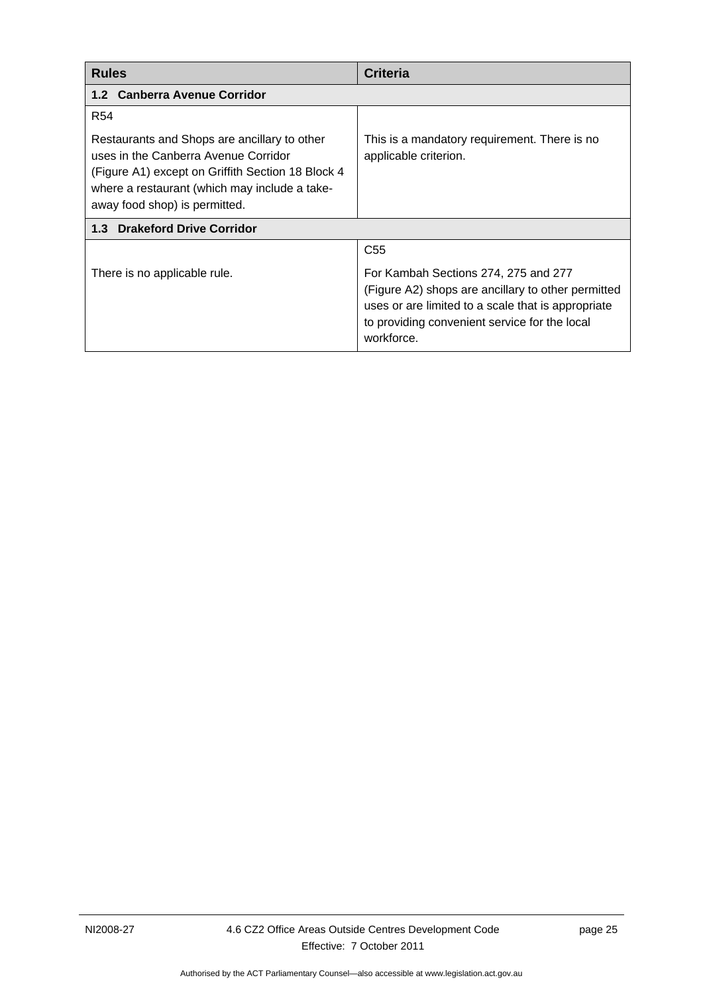<span id="page-28-2"></span><span id="page-28-1"></span><span id="page-28-0"></span>

| <b>Rules</b>                                                                                                                                                                                                                | <b>Criteria</b>                                                                                                                                                                                                                    |  |
|-----------------------------------------------------------------------------------------------------------------------------------------------------------------------------------------------------------------------------|------------------------------------------------------------------------------------------------------------------------------------------------------------------------------------------------------------------------------------|--|
| 1.2 Canberra Avenue Corridor                                                                                                                                                                                                |                                                                                                                                                                                                                                    |  |
| <b>R54</b>                                                                                                                                                                                                                  |                                                                                                                                                                                                                                    |  |
| Restaurants and Shops are ancillary to other<br>uses in the Canberra Avenue Corridor<br>(Figure A1) except on Griffith Section 18 Block 4<br>where a restaurant (which may include a take-<br>away food shop) is permitted. | This is a mandatory requirement. There is no<br>applicable criterion.                                                                                                                                                              |  |
| 1.3 Drakeford Drive Corridor                                                                                                                                                                                                |                                                                                                                                                                                                                                    |  |
| There is no applicable rule.                                                                                                                                                                                                | C <sub>55</sub><br>For Kambah Sections 274, 275 and 277<br>(Figure A2) shops are ancillary to other permitted<br>uses or are limited to a scale that is appropriate<br>to providing convenient service for the local<br>workforce. |  |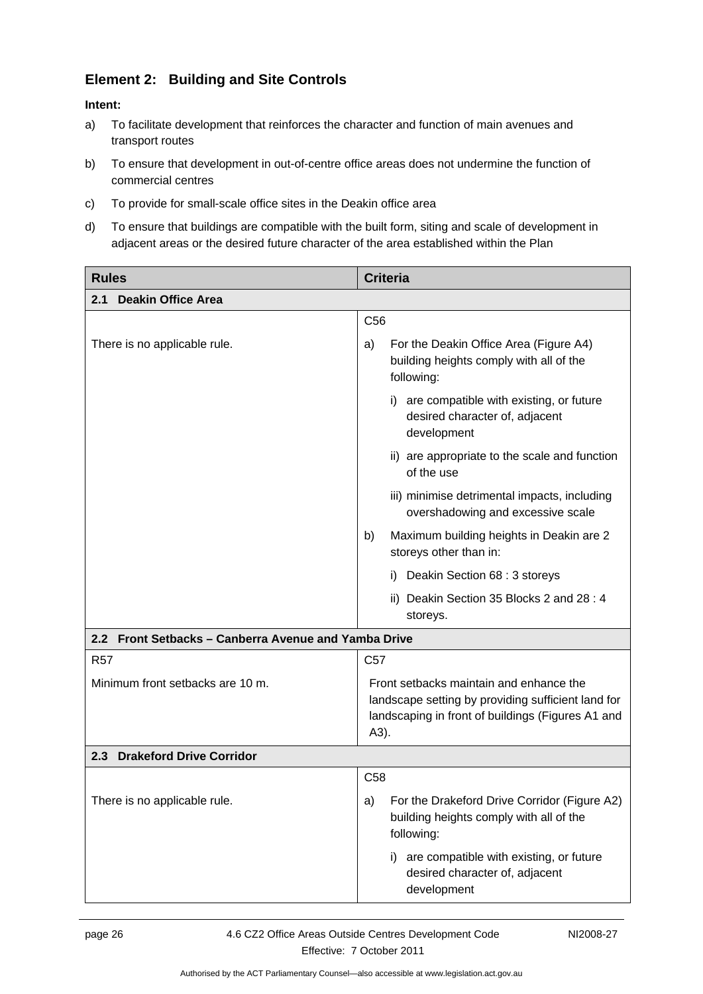### **Element 2: Building and Site Controls**

- <span id="page-29-0"></span>a) To facilitate development that reinforces the character and function of main avenues and transport routes
- <span id="page-29-1"></span>b) To ensure that development in out-of-centre office areas does not undermine the function of commercial centres
- c) To provide for small-scale office sites in the Deakin office area
- d) To ensure that buildings are compatible with the built form, siting and scale of development in adjacent areas or the desired future character of the area established within the Plan

<span id="page-29-2"></span>

| <b>Rules</b>                                         | <b>Criteria</b>                                                                                                                                            |
|------------------------------------------------------|------------------------------------------------------------------------------------------------------------------------------------------------------------|
| <b>Deakin Office Area</b><br>2.1                     |                                                                                                                                                            |
|                                                      | C <sub>56</sub>                                                                                                                                            |
| There is no applicable rule.                         | For the Deakin Office Area (Figure A4)<br>a)<br>building heights comply with all of the<br>following:                                                      |
|                                                      | i) are compatible with existing, or future<br>desired character of, adjacent<br>development                                                                |
|                                                      | ii) are appropriate to the scale and function<br>of the use                                                                                                |
|                                                      | iii) minimise detrimental impacts, including<br>overshadowing and excessive scale                                                                          |
|                                                      | Maximum building heights in Deakin are 2<br>b)<br>storeys other than in:                                                                                   |
|                                                      | i) Deakin Section 68 : 3 storeys                                                                                                                           |
|                                                      | ii) Deakin Section 35 Blocks 2 and 28:4<br>storeys.                                                                                                        |
| 2.2 Front Setbacks - Canberra Avenue and Yamba Drive |                                                                                                                                                            |
| <b>R57</b>                                           | C <sub>57</sub>                                                                                                                                            |
| Minimum front setbacks are 10 m.                     | Front setbacks maintain and enhance the<br>landscape setting by providing sufficient land for<br>landscaping in front of buildings (Figures A1 and<br>A3). |
| <b>Drakeford Drive Corridor</b><br>2.3               |                                                                                                                                                            |
|                                                      | C <sub>58</sub>                                                                                                                                            |
| There is no applicable rule.                         | For the Drakeford Drive Corridor (Figure A2)<br>a)<br>building heights comply with all of the<br>following:                                                |
|                                                      | are compatible with existing, or future<br>i)<br>desired character of, adjacent<br>development                                                             |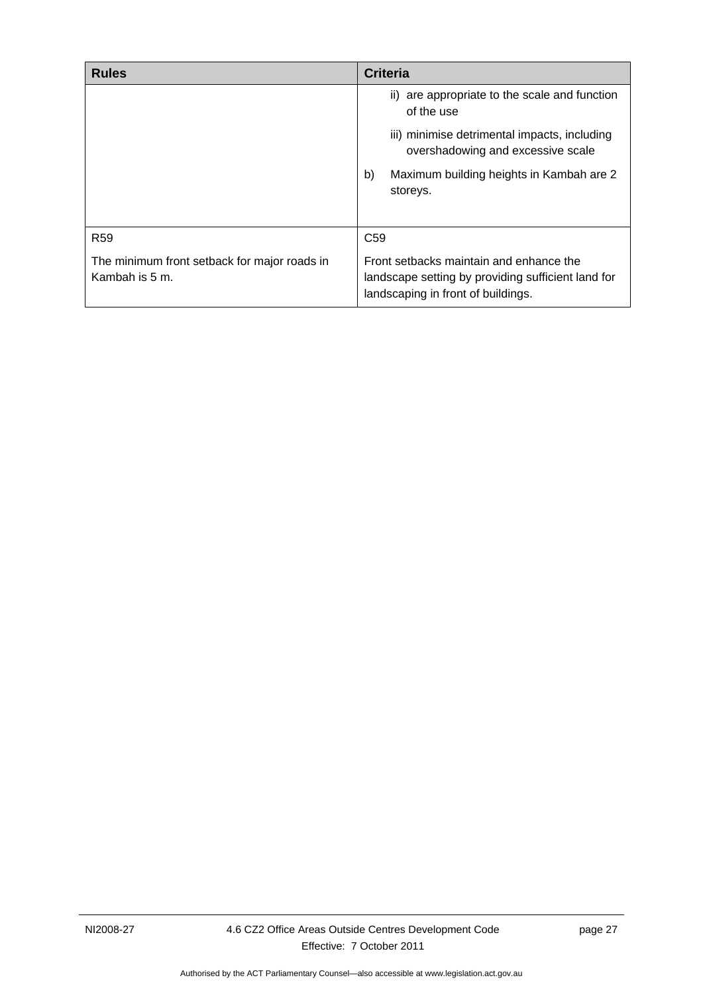<span id="page-30-1"></span><span id="page-30-0"></span>

| <b>Rules</b>                                                   | <b>Criteria</b>                                                                                                                     |
|----------------------------------------------------------------|-------------------------------------------------------------------------------------------------------------------------------------|
|                                                                | ii) are appropriate to the scale and function<br>of the use                                                                         |
|                                                                | iii) minimise detrimental impacts, including<br>overshadowing and excessive scale                                                   |
|                                                                | Maximum building heights in Kambah are 2<br>b)<br>storeys.                                                                          |
| R <sub>59</sub>                                                | C <sub>59</sub>                                                                                                                     |
| The minimum front setback for major roads in<br>Kambah is 5 m. | Front setbacks maintain and enhance the<br>landscape setting by providing sufficient land for<br>landscaping in front of buildings. |